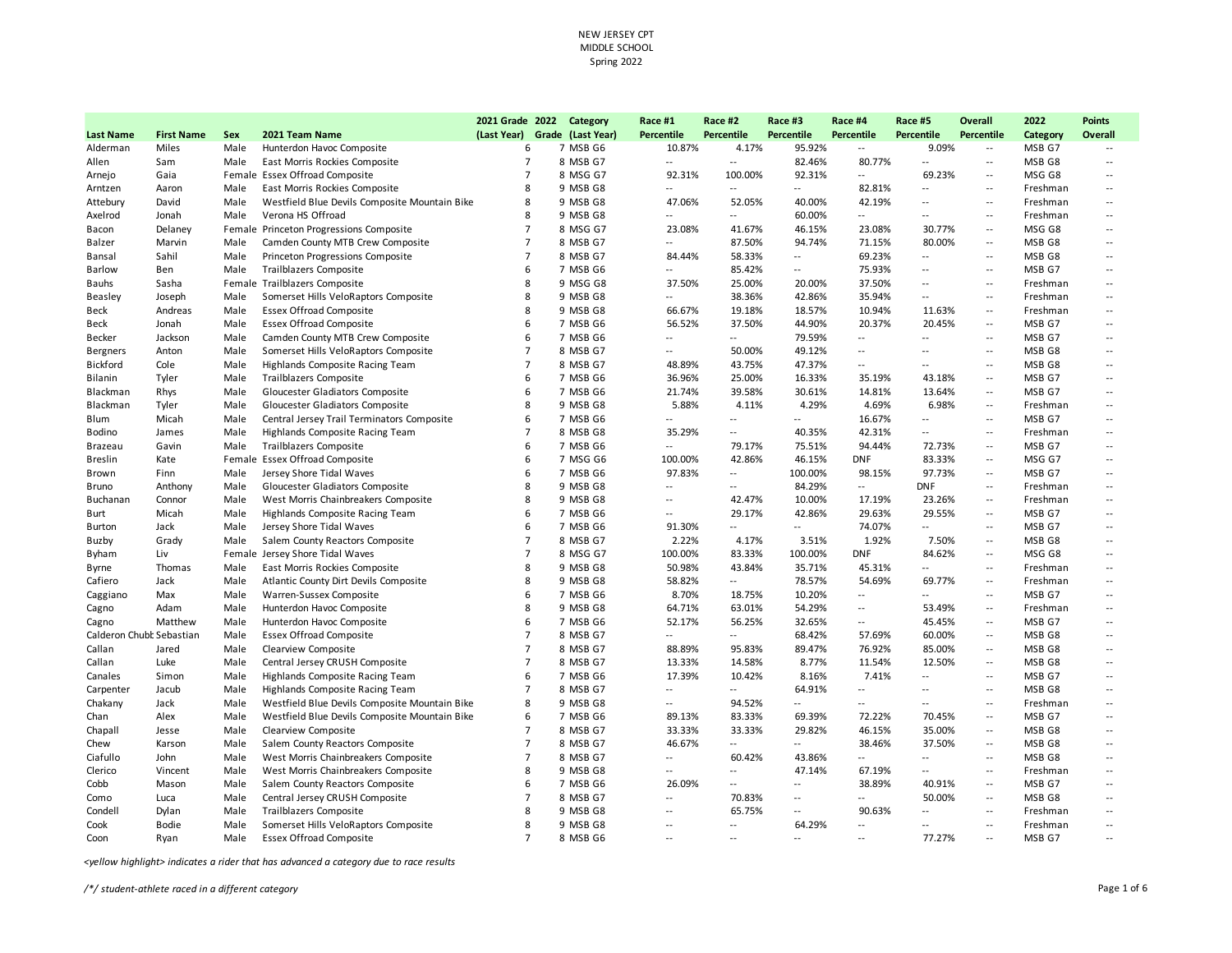|                          |                   |      |                                               | 2021 Grade 2022               | Category | Race #1                  | Race #2                  | Race #3                  | Race #4                  | Race #5                  | Overall                     | 2022     | <b>Points</b>            |
|--------------------------|-------------------|------|-----------------------------------------------|-------------------------------|----------|--------------------------|--------------------------|--------------------------|--------------------------|--------------------------|-----------------------------|----------|--------------------------|
| <b>Last Name</b>         | <b>First Name</b> | Sex  | 2021 Team Name                                | (Last Year) Grade (Last Year) |          | Percentile               | Percentile               | Percentile               | <b>Percentile</b>        | Percentile               | Percentile                  | Category | <b>Overall</b>           |
| Alderman                 | Miles             | Male | Hunterdon Havoc Composite                     | 6                             | 7 MSB G6 | 10.87%                   | 4.17%                    | 95.92%                   | $\overline{\phantom{a}}$ | 9.09%                    | $\overline{\phantom{a}}$    | MSB G7   |                          |
| Allen                    | Sam               | Male | East Morris Rockies Composite                 | $\overline{7}$                | 8 MSB G7 | $\sim$                   | $\sim$                   | 82.46%                   | 80.77%                   | $\overline{a}$           | $\sim$ $\sim$               | MSB G8   | $\overline{\phantom{a}}$ |
| Arnejo                   | Gaia              |      | Female Essex Offroad Composite                | $\overline{7}$                | 8 MSG G7 | 92.31%                   | 100.00%                  | 92.31%                   | $\overline{\phantom{a}}$ | 69.23%                   | $\overline{\phantom{a}}$    | MSG G8   | $\overline{\phantom{a}}$ |
| Arntzen                  | Aaron             | Male | East Morris Rockies Composite                 | 8                             | 9 MSB G8 | $\overline{a}$           | $\overline{a}$           | $-1$                     | 82.81%                   | $\sim$                   | $\sim$                      | Freshman | $\overline{a}$           |
| Attebury                 | David             | Male | Westfield Blue Devils Composite Mountain Bike | 8                             | 9 MSB G8 | 47.06%                   | 52.05%                   | 40.00%                   | 42.19%                   | $\overline{\phantom{a}}$ | $\sim$                      | Freshman | --                       |
| Axelrod                  | Jonah             | Male | Verona HS Offroad                             | 8                             | 9 MSB G8 | $\overline{\phantom{a}}$ | $\overline{a}$           | 60.00%                   | $\overline{a}$           | $\overline{a}$           | $\sim$                      | Freshman | $\overline{a}$           |
| Bacon                    | Delaney           |      | Female Princeton Progressions Composite       | $\overline{7}$                | 8 MSG G7 | 23.08%                   | 41.67%                   | 46.15%                   | 23.08%                   | 30.77%                   | $\sim$                      | MSG G8   | $\overline{a}$           |
| Balzer                   | Marvin            | Male | Camden County MTB Crew Composite              | $\overline{7}$                | 8 MSB G7 | $\overline{\phantom{a}}$ | 87.50%                   | 94.74%                   | 71.15%                   | 80.00%                   | $\sim$                      | MSB G8   | $\overline{a}$           |
| Bansal                   | Sahil             | Male | Princeton Progressions Composite              | $\overline{7}$                | 8 MSB G7 | 84.44%                   | 58.33%                   | $\overline{\phantom{a}}$ | 69.23%                   | $\overline{\phantom{a}}$ | $\overline{\phantom{a}}$    | MSB G8   | $\overline{\phantom{a}}$ |
| <b>Barlow</b>            | Ben               | Male | <b>Trailblazers Composite</b>                 | 6                             | 7 MSB G6 | $\overline{a}$           | 85.42%                   | $\overline{\phantom{a}}$ | 75.93%                   | $\overline{a}$           | $\sim$                      | MSB G7   | $\sim$                   |
| Bauhs                    | Sasha             |      | Female Trailblazers Composite                 | 8                             | 9 MSG G8 | 37.50%                   | 25.00%                   | 20.00%                   | 37.50%                   | $\overline{a}$           | $\mathcal{L}_{\mathcal{A}}$ | Freshman | $\overline{a}$           |
| <b>Beasley</b>           | Joseph            | Male | Somerset Hills VeloRaptors Composite          | 8                             | 9 MSB G8 | $\overline{a}$           | 38.36%                   | 42.86%                   | 35.94%                   | $\overline{a}$           | $\sim$ $\sim$               | Freshman | $\overline{a}$           |
| Beck                     | Andreas           | Male | <b>Essex Offroad Composite</b>                | 8                             | 9 MSB G8 | 66.67%                   | 19.18%                   | 18.57%                   | 10.94%                   | 11.63%                   | $\sim$                      | Freshman | --                       |
| Beck                     | Jonah             | Male | <b>Essex Offroad Composite</b>                | 6                             | 7 MSB G6 | 56.52%                   | 37.50%                   | 44.90%                   | 20.37%                   | 20.45%                   | $\sim$ $\sim$               | MSB G7   | $\overline{a}$           |
| Becker                   | Jackson           | Male | Camden County MTB Crew Composite              | 6                             | 7 MSB G6 | $\overline{a}$           | $\overline{a}$           | 79.59%                   | $-$                      | $\overline{a}$           | $\overline{\phantom{a}}$    | MSB G7   | $\overline{a}$           |
| <b>Bergners</b>          | Anton             | Male | Somerset Hills VeloRaptors Composite          | $\overline{7}$                | 8 MSB G7 | $\overline{a}$           | 50.00%                   | 49.12%                   | $\overline{a}$           | $\overline{a}$           | $\sim$                      | MSB G8   | $\overline{a}$           |
| Bickford                 | Cole              | Male | Highlands Composite Racing Team               | $\overline{7}$                | 8 MSB G7 | 48.89%                   | 43.75%                   | 47.37%                   | $\sim$                   | $\overline{\phantom{a}}$ | $\sim$                      | MSB G8   | $\overline{a}$           |
| Bilanin                  | Tyler             | Male | <b>Trailblazers Composite</b>                 | 6                             | 7 MSB G6 | 36.96%                   | 25.00%                   | 16.33%                   | 35.19%                   | 43.18%                   | $\sim$                      | MSB G7   | $\overline{a}$           |
| Blackman                 | Rhys              | Male | Gloucester Gladiators Composite               | 6                             | 7 MSB G6 | 21.74%                   | 39.58%                   | 30.61%                   | 14.81%                   | 13.64%                   | $\overline{a}$              | MSB G7   | --                       |
| Blackman                 | Tyler             | Male | Gloucester Gladiators Composite               | 8                             | 9 MSB G8 | 5.88%                    | 4.11%                    | 4.29%                    | 4.69%                    | 6.98%                    | $\sim$                      | Freshman | $\overline{a}$           |
| Blum                     | Micah             | Male | Central Jersey Trail Terminators Composite    | 6                             | 7 MSB G6 | $\overline{a}$           | $\overline{a}$           | $\overline{\phantom{a}}$ | 16.67%                   | $\overline{\phantom{a}}$ | $\overline{\phantom{a}}$    | MSB G7   | --                       |
| Bodino                   | James             | Male | Highlands Composite Racing Team               | $\overline{7}$                | 8 MSB G8 | 35.29%                   | $\overline{\phantom{a}}$ | 40.35%                   | 42.31%                   | $\sim$                   | $\sim$ $\sim$               | Freshman | $\overline{\phantom{a}}$ |
| Brazeau                  | Gavin             | Male | <b>Trailblazers Composite</b>                 | 6                             | 7 MSB G6 | $\overline{a}$           | 79.17%                   | 75.51%                   | 94.44%                   | 72.73%                   | $\sim$                      | MSB G7   | $\overline{a}$           |
| <b>Breslin</b>           | Kate              |      | Female Essex Offroad Composite                | 6                             | 7 MSG G6 | 100.00%                  | 42.86%                   | 46.15%                   | <b>DNF</b>               | 83.33%                   | $\sim$                      | MSG G7   | $\overline{a}$           |
| Brown                    | Finn              | Male | Jersey Shore Tidal Waves                      | 6                             | 7 MSB G6 | 97.83%                   | $\overline{a}$           | 100.00%                  | 98.15%                   | 97.73%                   | $\overline{a}$              | MSB G7   | $\overline{\phantom{a}}$ |
| Bruno                    | Anthony           | Male | Gloucester Gladiators Composite               | 8                             | 9 MSB G8 | $\overline{a}$           | $-$                      | 84.29%                   | $\overline{\phantom{a}}$ | <b>DNF</b>               | $\sim$                      | Freshman | --                       |
| Buchanan                 | Connor            | Male | West Morris Chainbreakers Composite           | 8                             | 9 MSB G8 | $\overline{\phantom{a}}$ | 42.47%                   | 10.00%                   | 17.19%                   | 23.26%                   | $\overline{\phantom{a}}$    | Freshman | $\overline{\phantom{a}}$ |
| Burt                     | Micah             | Male | Highlands Composite Racing Team               | 6                             | 7 MSB G6 | $\overline{a}$           | 29.17%                   | 42.86%                   | 29.63%                   | 29.55%                   | $\sim$                      | MSB G7   | $\overline{a}$           |
| <b>Burton</b>            | Jack              | Male | Jersey Shore Tidal Waves                      | 6                             | 7 MSB G6 | 91.30%                   | $\overline{a}$           | $\overline{\phantom{a}}$ | 74.07%                   | $\overline{\phantom{a}}$ | $\sim$                      | MSB G7   | $\overline{\phantom{a}}$ |
| Buzby                    | Grady             | Male | Salem County Reactors Composite               | $\overline{7}$                | 8 MSB G7 | 2.22%                    | 4.17%                    | 3.51%                    | 1.92%                    | 7.50%                    | $\sim$                      | MSB G8   | $\overline{a}$           |
| Byham                    | Liv               |      | Female Jersey Shore Tidal Waves               | $\overline{7}$                | 8 MSG G7 | 100.00%                  | 83.33%                   | 100.00%                  | <b>DNF</b>               | 84.62%                   | $\overline{a}$              | MSG G8   | --                       |
| Byrne                    | Thomas            | Male | East Morris Rockies Composite                 | 8                             | 9 MSB G8 | 50.98%                   | 43.84%                   | 35.71%                   | 45.31%                   | --                       | $\sim$                      | Freshman | --                       |
| Cafiero                  | Jack              | Male | Atlantic County Dirt Devils Composite         | 8                             | 9 MSB G8 | 58.82%                   | $\overline{\phantom{a}}$ | 78.57%                   | 54.69%                   | 69.77%                   | $\overline{\phantom{a}}$    | Freshman | $\overline{\phantom{a}}$ |
| Caggiano                 | Max               | Male | Warren-Sussex Composite                       | 6                             | 7 MSB G6 | 8.70%                    | 18.75%                   | 10.20%                   | $\overline{\phantom{a}}$ | $\overline{\phantom{0}}$ | $\sim$                      | MSB G7   | $\overline{\phantom{a}}$ |
| Cagno                    | Adam              | Male | Hunterdon Havoc Composite                     | 8                             | 9 MSB G8 | 64.71%                   | 63.01%                   | 54.29%                   | $\overline{a}$           | 53.49%                   | $\sim$ $\sim$               | Freshman | $\overline{a}$           |
| Cagno                    | Matthew           | Male | Hunterdon Havoc Composite                     | 6                             | 7 MSB G6 | 52.17%                   | 56.25%                   | 32.65%                   | $\overline{\phantom{a}}$ | 45.45%                   | $\sim$                      | MSB G7   | $\overline{a}$           |
| Calderon Chubl Sebastian |                   | Male | <b>Essex Offroad Composite</b>                | $\overline{7}$                | 8 MSB G7 | $\overline{\phantom{a}}$ | $\overline{a}$           | 68.42%                   | 57.69%                   | 60.00%                   | $\overline{a}$              | MSB G8   | $\overline{\phantom{a}}$ |
| Callan                   | Jared             | Male | Clearview Composite                           | $\overline{7}$                | 8 MSB G7 | 88.89%                   | 95.83%                   | 89.47%                   | 76.92%                   | 85.00%                   | $\sim$                      | MSB G8   | $\overline{a}$           |
| Callan                   | Luke              | Male | Central Jersey CRUSH Composite                | $\overline{7}$                | 8 MSB G7 | 13.33%                   | 14.58%                   | 8.77%                    | 11.54%                   | 12.50%                   | $\overline{a}$              | MSB G8   | --                       |
| Canales                  | Simon             | Male | Highlands Composite Racing Team               | 6                             | 7 MSB G6 | 17.39%                   | 10.42%                   | 8.16%                    | 7.41%                    | $\overline{a}$           | $\overline{\phantom{a}}$    | MSB G7   | $\overline{a}$           |
| Carpenter                | Jacub             | Male | Highlands Composite Racing Team               | $\overline{7}$                | 8 MSB G7 | $\overline{a}$           | $\overline{a}$           | 64.91%                   | $\overline{a}$           | $-$                      | $\sim$ $-$                  | MSB G8   | $\overline{a}$           |
| Chakany                  | Jack              | Male | Westfield Blue Devils Composite Mountain Bike | 8                             | 9 MSB G8 | $\overline{\phantom{a}}$ | 94.52%                   | --                       | $\overline{\phantom{a}}$ | $\overline{\phantom{a}}$ | $\sim$                      | Freshman | --                       |
| Chan                     | Alex              | Male | Westfield Blue Devils Composite Mountain Bike | 6                             | 7 MSB G6 | 89.13%                   | 83.33%                   | 69.39%                   | 72.22%                   | 70.45%                   | $\overline{a}$              | MSB G7   | --                       |
| Chapall                  | Jesse             | Male | Clearview Composite                           | $\overline{7}$                | 8 MSB G7 | 33.33%                   | 33.33%                   | 29.82%                   | 46.15%                   | 35.00%                   | $\sim$                      | MSB G8   | $\overline{a}$           |
| Chew                     | Karson            | Male | Salem County Reactors Composite               | $\overline{7}$                | 8 MSB G7 | 46.67%                   | $\overline{a}$           | $\overline{\phantom{a}}$ | 38.46%                   | 37.50%                   | $\sim$                      | MSB G8   | $\overline{a}$           |
| Ciafullo                 | John              | Male | West Morris Chainbreakers Composite           | $\overline{7}$                | 8 MSB G7 | $\ddot{\phantom{a}}$     | 60.42%                   | 43.86%                   | $\overline{\phantom{a}}$ | $\sim$                   | $\overline{\phantom{a}}$    | MSB G8   | $\overline{\phantom{a}}$ |
| Clerico                  | Vincent           | Male | West Morris Chainbreakers Composite           | 8                             | 9 MSB G8 | $\sim$                   | $\sim$                   | 47.14%                   | 67.19%                   | $\sim$                   | $\overline{\phantom{a}}$    | Freshman | $\overline{\phantom{a}}$ |
| Cobb                     | Mason             | Male | Salem County Reactors Composite               | 6                             | 7 MSB G6 | 26.09%                   | $\overline{a}$           | $\overline{\phantom{a}}$ | 38.89%                   | 40.91%                   | $\sim$                      | MSB G7   | $\overline{a}$           |
| Como                     | Luca              | Male | Central Jersey CRUSH Composite                | $\overline{7}$                | 8 MSB G7 | $\overline{\phantom{a}}$ | 70.83%                   | $\overline{a}$           | $\overline{\phantom{a}}$ | 50.00%                   | $\sim$                      | MSB G8   | $\overline{a}$           |
| Condell                  | Dylan             | Male | <b>Trailblazers Composite</b>                 | 8                             | 9 MSB G8 | $\overline{\phantom{a}}$ | 65.75%                   | $\overline{\phantom{a}}$ | 90.63%                   | --                       | $\sim$                      | Freshman | --                       |
| Cook                     | <b>Bodie</b>      | Male | Somerset Hills VeloRaptors Composite          | 8                             | 9 MSB G8 | $\sim$                   | $\sim$                   | 64.29%                   | $\overline{a}$           | $-$                      | $\mathcal{L}_{\mathcal{A}}$ | Freshman | --                       |
| Coon                     | Ryan              | Male | <b>Essex Offroad Composite</b>                | $\overline{7}$                | 8 MSB G6 | $\overline{a}$           | $\overline{a}$           | $\overline{a}$           | $\overline{a}$           | 77.27%                   | $\overline{a}$              | MSB G7   | $-$                      |
|                          |                   |      |                                               |                               |          |                          |                          |                          |                          |                          |                             |          |                          |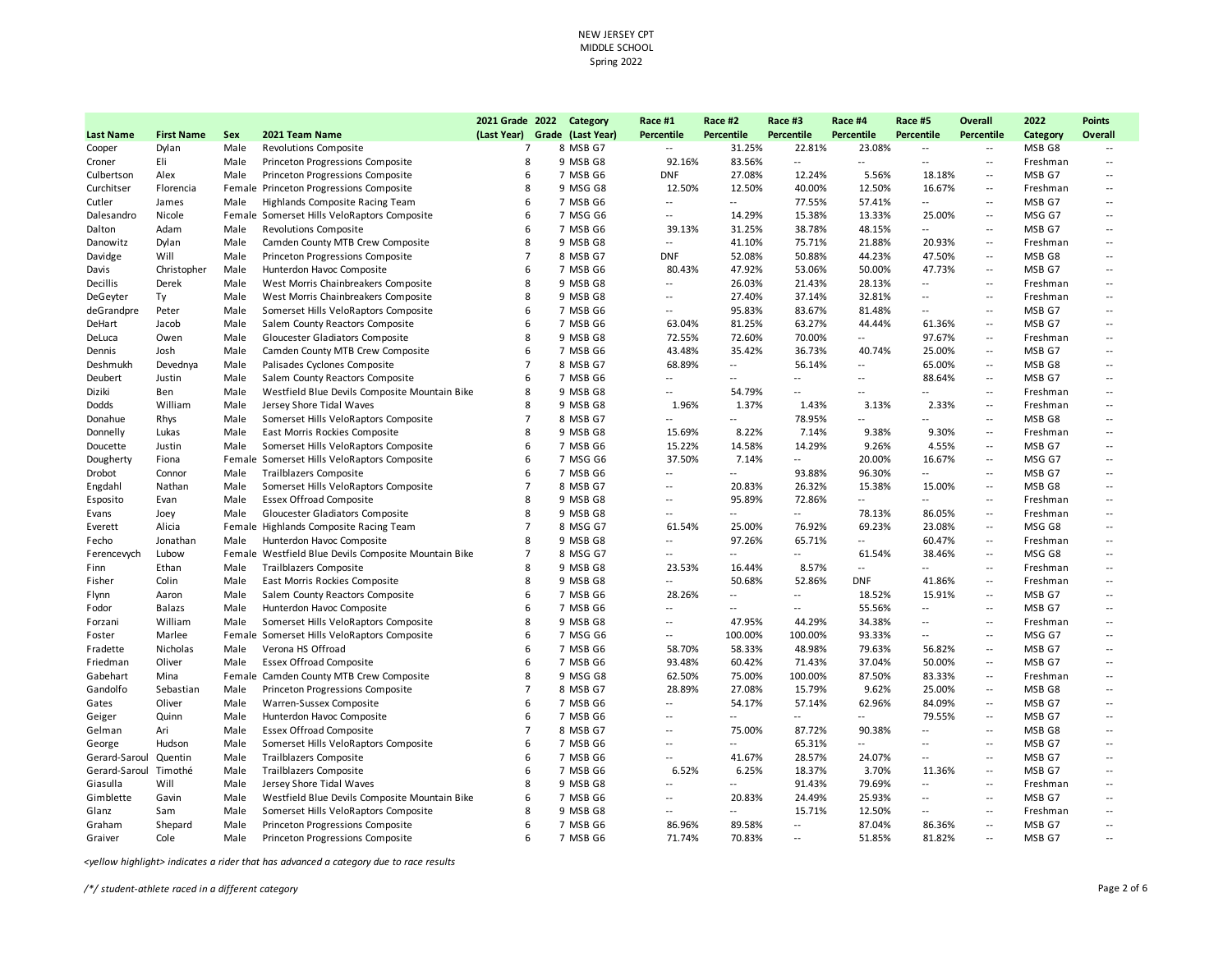|                         |                   |      |                                                      | 2021 Grade 2022               | Category             | Race #1                  | Race #2                  | Race #3                  | Race #4                  | Race #5                          | Overall                                       | 2022     | <b>Points</b>            |
|-------------------------|-------------------|------|------------------------------------------------------|-------------------------------|----------------------|--------------------------|--------------------------|--------------------------|--------------------------|----------------------------------|-----------------------------------------------|----------|--------------------------|
| <b>Last Name</b>        | <b>First Name</b> | Sex  | 2021 Team Name                                       | (Last Year) Grade (Last Year) |                      | Percentile               | Percentile               | Percentile               | <b>Percentile</b>        | Percentile                       | Percentile                                    | Category | <b>Overall</b>           |
| Cooper                  | Dylan             | Male | <b>Revolutions Composite</b>                         | $\overline{7}$                | 8 MSB G7             | $\overline{\phantom{a}}$ | 31.25%                   | 22.81%                   | 23.08%                   | $\sim$ $\sim$                    | $\overline{\phantom{a}}$                      | MSB G8   |                          |
| Croner                  | Eli               | Male | Princeton Progressions Composite                     | 8                             | 9 MSB G8             | 92.16%                   | 83.56%                   |                          | $\overline{\phantom{a}}$ | $\overline{a}$                   | $\sim$ $\sim$                                 | Freshman | --                       |
| Culbertson              | Alex              | Male | Princeton Progressions Composite                     | 6                             | 7 MSB G6             | <b>DNF</b>               | 27.08%                   | 12.24%                   | 5.56%                    | 18.18%                           | $\sim$                                        | MSB G7   | --                       |
| Curchitser              | Florencia         |      | Female Princeton Progressions Composite              | 8                             | 9 MSG G8             | 12.50%                   | 12.50%                   | 40.00%                   | 12.50%                   | 16.67%                           | $\sim$                                        | Freshman | $\overline{a}$           |
| Cutler                  | James             | Male | Highlands Composite Racing Team                      | 6                             | 7 MSB G6             | $\overline{\phantom{a}}$ | $\overline{a}$           | 77.55%                   | 57.41%                   | $\overline{\phantom{a}}$         | $\sim$                                        | MSB G7   | --                       |
| Dalesandro              | Nicole            |      | Female Somerset Hills VeloRaptors Composite          | 6                             | 7 MSG G6             | $\sim$                   | 14.29%                   | 15.38%                   | 13.33%                   | 25.00%                           | $\sim$ $\sim$                                 | MSG G7   | $\overline{a}$           |
| Dalton                  | Adam              | Male | <b>Revolutions Composite</b>                         | 6                             | 7 MSB G6             | 39.13%                   | 31.25%                   | 38.78%                   | 48.15%                   | $\sim$                           | $\overline{a}$                                | MSB G7   | $\overline{a}$           |
| Danowitz                | Dylan             | Male | Camden County MTB Crew Composite                     | 8                             | 9 MSB G8             | $\overline{\phantom{a}}$ | 41.10%                   | 75.71%                   | 21.88%                   | 20.93%                           | $\sim$                                        | Freshman | $\overline{\phantom{a}}$ |
| Davidge                 | Will              | Male | Princeton Progressions Composite                     | $\overline{7}$                | 8 MSB G7             | <b>DNF</b>               | 52.08%                   | 50.88%                   | 44.23%                   | 47.50%                           | $\sim$                                        | MSB G8   | $\overline{a}$           |
| Davis                   | Christopher       | Male | Hunterdon Havoc Composite                            | 6                             | 7 MSB G6             | 80.43%                   | 47.92%                   | 53.06%                   | 50.00%                   | 47.73%                           | $\sim$                                        | MSB G7   | $\overline{a}$           |
| Decillis                | Derek             | Male | West Morris Chainbreakers Composite                  | 8                             | 9 MSB G8             | $\overline{\phantom{a}}$ | 26.03%                   | 21.43%                   | 28.13%                   | --                               | $\sim$                                        | Freshman | --                       |
| DeGeyter                | Ty                | Male | West Morris Chainbreakers Composite                  | 8                             | 9 MSB G8             | $\overline{\phantom{a}}$ | 27.40%                   | 37.14%                   | 32.81%                   | $-$                              | $\sim$                                        | Freshman | $-1$                     |
| deGrandpre              | Peter             | Male | Somerset Hills VeloRaptors Composite                 | 6                             | 7 MSB G6             | $\overline{\phantom{a}}$ | 95.83%                   | 83.67%                   | 81.48%                   | $\overline{\phantom{a}}$         | $\overline{\phantom{a}}$                      | MSB G7   | $\overline{\phantom{a}}$ |
| DeHart                  | Jacob             | Male | Salem County Reactors Composite                      | 6                             | 7 MSB G6             | 63.04%                   | 81.25%                   | 63.27%                   | 44.44%                   | 61.36%                           | $\sim$ $\sim$                                 | MSB G7   | $\overline{a}$           |
| DeLuca                  | Owen              | Male | Gloucester Gladiators Composite                      | 8                             | 9 MSB G8             | 72.55%                   | 72.60%                   | 70.00%                   | $\overline{\phantom{a}}$ | 97.67%                           | $\sim$                                        | Freshman | $\overline{a}$           |
| Dennis                  | Josh              | Male | Camden County MTB Crew Composite                     | 6                             | 7 MSB G6             | 43.48%                   | 35.42%                   | 36.73%                   | 40.74%                   | 25.00%                           | $\sim$                                        | MSB G7   | $\overline{a}$           |
| Deshmukh                | Devednya          | Male | Palisades Cyclones Composite                         | $\overline{7}$                | 8 MSB G7             | 68.89%                   | $\overline{\phantom{a}}$ | 56.14%                   | $\overline{\phantom{a}}$ | 65.00%                           | $\sim$                                        | MSB G8   | --                       |
| Deubert                 | Justin            | Male | Salem County Reactors Composite                      | 6                             | 7 MSB G6             | $\overline{a}$           | $-1$                     | $\overline{a}$           | $\overline{a}$           | 88.64%                           | $\overline{\phantom{a}}$                      | MSB G7   | $\overline{a}$           |
| Diziki                  | Ben               | Male | Westfield Blue Devils Composite Mountain Bike        | 8                             | 9 MSB G8             | $\overline{\phantom{a}}$ | 54.79%                   | --                       | $\overline{a}$           | $\overline{a}$                   | $\overline{\phantom{a}}$                      | Freshman | $\overline{\phantom{a}}$ |
| Dodds                   | William           | Male | Jersey Shore Tidal Waves                             | 8                             | 9 MSB G8             | 1.96%                    | 1.37%                    | 1.43%                    | 3.13%                    | 2.33%                            | $\sim$                                        | Freshman | $\overline{a}$           |
| Donahue                 | Rhys              | Male | Somerset Hills VeloRaptors Composite                 | $\overline{7}$                | 8 MSB G7             | $\overline{\phantom{a}}$ | $\overline{a}$           | 78.95%                   | $\overline{a}$           |                                  | $\sim$                                        | MSB G8   | --                       |
| Donnelly                | Lukas             | Male | East Morris Rockies Composite                        | 8                             | 9 MSB G8             | 15.69%                   | 8.22%                    | 7.14%                    | 9.38%                    | 9.30%                            | $\sim$                                        | Freshman | $\overline{a}$           |
| Doucette                | Justin            | Male | Somerset Hills VeloRaptors Composite                 | 6                             | 7 MSB G6             | 15.22%                   | 14.58%                   | 14.29%                   | 9.26%                    | 4.55%                            | $\sim$                                        | MSB G7   | $\overline{a}$           |
| Dougherty               | Fiona             |      | Female Somerset Hills VeloRaptors Composite          | 6                             | 7 MSG G6             | 37.50%                   | 7.14%                    | $\overline{a}$           | 20.00%                   | 16.67%                           | $\overline{\phantom{a}}$                      | MSG G7   | $\overline{a}$           |
| Drobot                  | Connor            | Male | <b>Trailblazers Composite</b>                        | 6                             | 7 MSB G6             | $\overline{\phantom{a}}$ | $\overline{a}$           | 93.88%                   | 96.30%                   | $\sim$                           | $\overline{\phantom{a}}$                      | MSB G7   | $\overline{a}$           |
| Engdahl                 | Nathan            | Male | Somerset Hills VeloRaptors Composite                 | $\overline{7}$                | 8 MSB G7             | $\overline{\phantom{a}}$ | 20.83%                   | 26.32%                   | 15.38%                   | 15.00%                           | $\mathord{\hspace{1pt}\text{--}\hspace{1pt}}$ | MSB G8   | --                       |
| Esposito                | Evan              | Male | <b>Essex Offroad Composite</b>                       | 8                             | 9 MSB G8             | $\overline{\phantom{a}}$ | 95.89%                   | 72.86%                   | $\overline{\phantom{a}}$ | --                               | $\sim$                                        | Freshman | $\overline{a}$           |
| Evans                   | Joey              | Male | Gloucester Gladiators Composite                      | 8                             | 9 MSB G8             | $\overline{a}$           | $\overline{\phantom{a}}$ | $\overline{a}$           | 78.13%                   | 86.05%                           | $\sim$ $\sim$                                 | Freshman | $\overline{a}$           |
| Everett                 | Alicia            |      | Female Highlands Composite Racing Team               | $\overline{7}$                | 8 MSG G7             | 61.54%                   | 25.00%                   | 76.92%                   | 69.23%                   | 23.08%                           | $\overline{a}$                                | MSG G8   | --                       |
| Fecho                   | Jonathan          | Male | Hunterdon Havoc Composite                            | 8                             | 9 MSB G8             | $\sim$                   | 97.26%                   | 65.71%                   | $\overline{a}$           | 60.47%                           | $\overline{\phantom{a}}$                      | Freshman | $\overline{\phantom{a}}$ |
| Ferencevych             | Lubow             |      | Female Westfield Blue Devils Composite Mountain Bike | $\overline{7}$                | 8 MSG G7             | $\overline{\phantom{a}}$ | $\overline{a}$           | $\overline{a}$           | 61.54%                   | 38.46%                           | $\overline{\phantom{a}}$                      | MSG G8   | $\overline{\phantom{a}}$ |
| Finn                    | Ethan             | Male | <b>Trailblazers Composite</b>                        | 8                             | 9 MSB G8             | 23.53%                   | 16.44%                   | 8.57%                    | $\overline{a}$           | $\sim$                           | $\sim$ $\sim$                                 | Freshman | $\overline{\phantom{a}}$ |
| Fisher                  | Colin             | Male | East Morris Rockies Composite                        | 8                             | 9 MSB G8             | $\overline{\phantom{a}}$ | 50.68%                   | 52.86%                   | <b>DNF</b>               | 41.86%                           | $\sim$                                        | Freshman | $\overline{a}$           |
| Flynn                   | Aaron             | Male | Salem County Reactors Composite                      | 6                             | 7 MSB G6             | 28.26%                   | $\sim$                   | $\overline{a}$           | 18.52%                   | 15.91%                           | $\sim$                                        | MSB G7   | --                       |
| Fodor                   | Balazs            | Male | Hunterdon Havoc Composite                            | 6                             | 7 MSB G6             | $\overline{\phantom{a}}$ | $\overline{a}$           | $\overline{a}$           | 55.56%                   | $\sim$                           | $\overline{\phantom{a}}$                      | MSB G7   | $\overline{\phantom{a}}$ |
| Forzani                 | William           | Male | Somerset Hills VeloRaptors Composite                 | 8                             | 9 MSB G8             | $\overline{\phantom{a}}$ | 47.95%                   | 44.29%                   | 34.38%                   | $\overline{\phantom{a}}$         | $\overline{a}$                                | Freshman | $\overline{a}$           |
| Foster                  | Marlee            |      | Female Somerset Hills VeloRaptors Composite          | 6                             | 7 MSG G6             | $\overline{\phantom{a}}$ | 100.00%                  | 100.00%                  | 93.33%                   | $\overline{\phantom{a}}$         | $\overline{\phantom{a}}$                      | MSG G7   | --                       |
| Fradette                | Nicholas          | Male | Verona HS Offroad                                    | 6                             | 7 MSB G6             | 58.70%                   | 58.33%                   | 48.98%                   | 79.63%                   | 56.82%                           | $\sim$                                        | MSB G7   | $\overline{a}$           |
| Friedman                | Oliver            | Male | <b>Essex Offroad Composite</b>                       | 6                             | 7 MSB G6             | 93.48%                   | 60.42%                   | 71.43%                   | 37.04%                   | 50.00%                           | $\sim$                                        | MSB G7   | $\overline{a}$           |
| Gabehart                | Mina              |      | Female Camden County MTB Crew Composite              | 8                             | 9 MSG G8             | 62.50%                   | 75.00%                   | 100.00%                  | 87.50%                   | 83.33%                           | $\sim$                                        | Freshman | --                       |
| Gandolfo                | Sebastian         | Male | Princeton Progressions Composite                     | $\overline{7}$                | 8 MSB G7             | 28.89%                   | 27.08%                   | 15.79%                   | 9.62%                    | 25.00%                           | $\overline{\phantom{a}}$                      | MSB G8   | $\overline{\phantom{a}}$ |
| Gates                   | Oliver            | Male | Warren-Sussex Composite                              | 6                             | 7 MSB G6             | $\overline{\phantom{a}}$ | 54.17%                   | 57.14%                   | 62.96%                   | 84.09%                           | $\sim$                                        | MSB G7   | $\overline{\phantom{a}}$ |
|                         | Quinn             | Male | Hunterdon Havoc Composite                            | 6                             | 7 MSB G6             | $\sim$                   |                          | $\overline{a}$           | $\overline{a}$           | 79.55%                           | $\sim$                                        | MSB G7   | $\overline{a}$           |
| Geiger<br>Gelman        | Ari               | Male | <b>Essex Offroad Composite</b>                       | $\overline{7}$                | 8 MSB G7             | $\overline{a}$           | 75.00%                   | 87.72%                   | 90.38%                   | $\overline{a}$                   | $\overline{\phantom{a}}$                      | MSB G8   | $\overline{a}$           |
|                         |                   |      |                                                      | 6                             |                      | $\overline{\phantom{a}}$ | $\overline{a}$           | 65.31%                   | $\overline{a}$           | $\overline{\phantom{a}}$         | $\sim$                                        | MSB G7   | $\overline{a}$           |
| George<br>Gerard-Saroul | Hudson            | Male | Somerset Hills VeloRaptors Composite                 | 6                             | 7 MSB G6<br>7 MSB G6 | $\overline{\phantom{a}}$ | 41.67%                   | 28.57%                   | 24.07%                   | $\sim$                           |                                               | MSB G7   | $\overline{a}$           |
|                         | Quentin           | Male | <b>Trailblazers Composite</b>                        |                               |                      |                          |                          |                          |                          |                                  | $\mathord{\hspace{1pt}\text{--}\hspace{1pt}}$ |          |                          |
| Gerard-Saroul Timothé   |                   | Male | <b>Trailblazers Composite</b>                        | 6                             | 7 MSB G6             | 6.52%                    | 6.25%                    | 18.37%                   | 3.70%                    | 11.36%                           | $\overline{\phantom{a}}$                      | MSB G7   | $\overline{\phantom{a}}$ |
| Giasulla                | Will              | Male | Jersey Shore Tidal Waves                             | 8<br>6                        | 9 MSB G8             | $\overline{a}$           | $\overline{a}$           | 91.43%                   | 79.69%                   | $\overline{a}$<br>$\overline{a}$ | $\sim$ $\sim$                                 | Freshman | $\overline{a}$           |
| Gimblette               | Gavin             | Male | Westfield Blue Devils Composite Mountain Bike        |                               | 7 MSB G6             | $\overline{\phantom{a}}$ | 20.83%                   | 24.49%                   | 25.93%                   |                                  | $\sim$                                        | MSB G7   | --                       |
| Glanz                   | Sam               | Male | Somerset Hills VeloRaptors Composite                 | 8                             | 9 MSB G8             | $\overline{\phantom{a}}$ | $\overline{a}$           | 15.71%                   | 12.50%                   | --                               | $\sim$                                        | Freshman | --                       |
| Graham                  | Shepard           | Male | Princeton Progressions Composite                     | 6                             | 7 MSB G6             | 86.96%                   | 89.58%                   | $\overline{\phantom{a}}$ | 87.04%                   | 86.36%                           | $\overline{a}$                                | MSB G7   | --                       |
| Graiver                 | Cole              | Male | Princeton Progressions Composite                     | 6                             | 7 MSB G6             | 71.74%                   | 70.83%                   | $\overline{a}$           | 51.85%                   | 81.82%                           | $\sim$ $\sim$                                 | MSB G7   | $-$                      |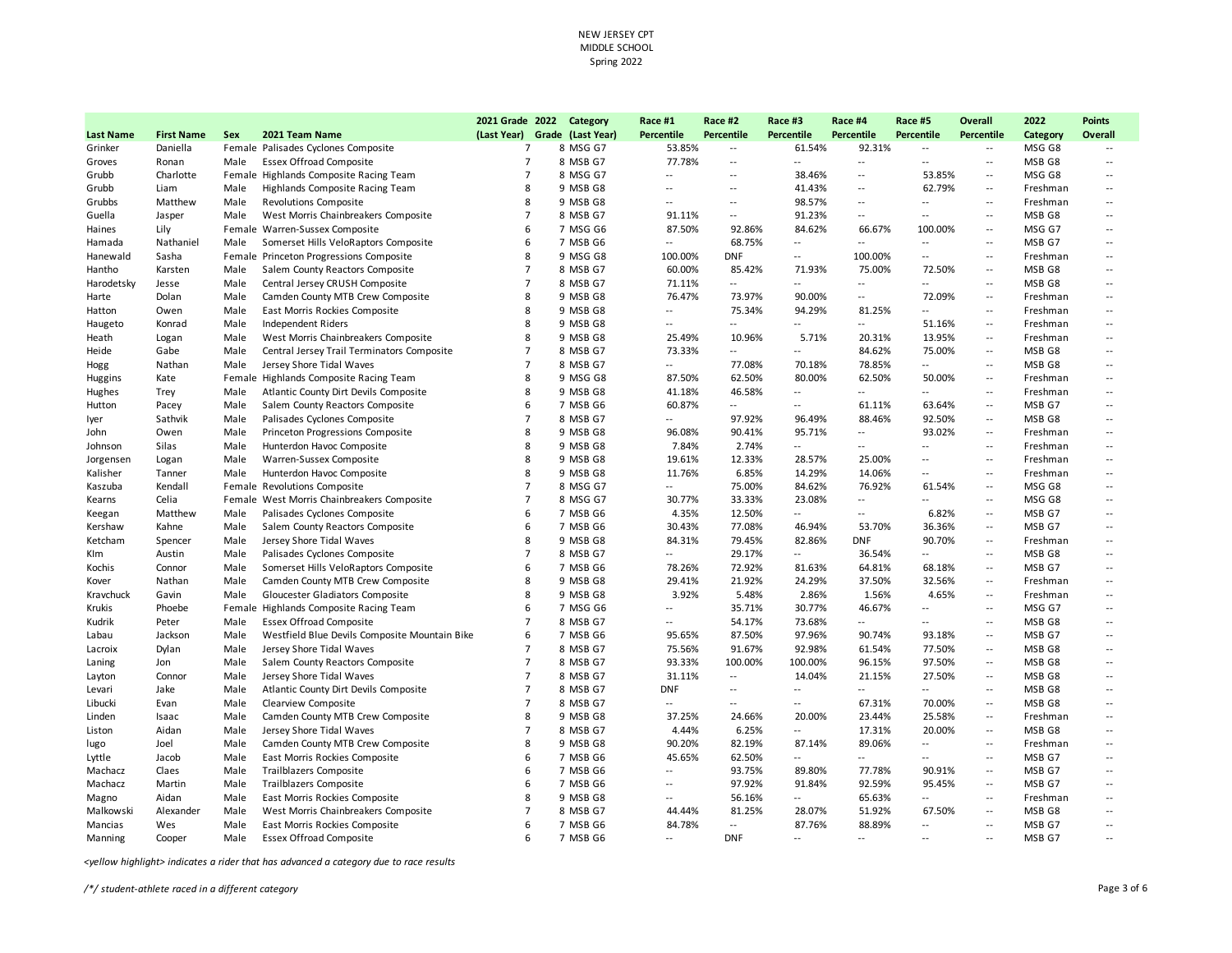|                  |                   |      |                                               | 2021 Grade 2022               | Category | Race #1                  | Race #2                  | Race #3                  | Race #4                  | Race #5                  | Overall                                       | 2022     | <b>Points</b>              |
|------------------|-------------------|------|-----------------------------------------------|-------------------------------|----------|--------------------------|--------------------------|--------------------------|--------------------------|--------------------------|-----------------------------------------------|----------|----------------------------|
| <b>Last Name</b> | <b>First Name</b> | Sex  | 2021 Team Name                                | (Last Year) Grade (Last Year) |          | <b>Percentile</b>        | Percentile               | Percentile               | <b>Percentile</b>        | Percentile               | Percentile                                    | Category | Overall                    |
| Grinker          | Daniella          |      | Female Palisades Cyclones Composite           | $\overline{7}$                | 8 MSG G7 | 53.85%                   | $\overline{\phantom{a}}$ | 61.54%                   | 92.31%                   | $\overline{\phantom{a}}$ | $\overline{\phantom{a}}$                      | MSG G8   |                            |
| Groves           | Ronan             | Male | <b>Essex Offroad Composite</b>                | $\overline{7}$                | 8 MSB G7 | 77.78%                   | $\overline{a}$           | $\overline{a}$           | $\overline{\phantom{a}}$ | $\sim$                   | $\overline{\phantom{a}}$                      | MSB G8   | $\overline{\phantom{a}}$   |
| Grubb            | Charlotte         |      | Female Highlands Composite Racing Team        | $\overline{7}$                | 8 MSG G7 | $\overline{\phantom{a}}$ | $\overline{\phantom{a}}$ | 38.46%                   | $\overline{\phantom{a}}$ | 53.85%                   | $\overline{\phantom{a}}$                      | MSG G8   | $\overline{\phantom{a}}$ . |
| Grubb            | Liam              | Male | Highlands Composite Racing Team               | 8                             | 9 MSB G8 | $\overline{a}$           | $\overline{a}$           | 41.43%                   | $\overline{a}$           | 62.79%                   | $\sim$ $\sim$                                 | Freshman | $\overline{a}$             |
| Grubbs           | Matthew           | Male | <b>Revolutions Composite</b>                  | 8                             | 9 MSB G8 | $\overline{\phantom{a}}$ | $\sim$                   | 98.57%                   | $\overline{\phantom{a}}$ | $\overline{\phantom{a}}$ | $\sim$                                        | Freshman | $\overline{\phantom{a}}$   |
| Guella           | Jasper            | Male | West Morris Chainbreakers Composite           | $\overline{7}$                | 8 MSB G7 | 91.11%                   | $\overline{\phantom{a}}$ | 91.23%                   | $\overline{\phantom{a}}$ | $\overline{a}$           | $\sim$ $-$                                    | MSB G8   | $\overline{\phantom{a}}$ . |
| Haines           | Lily              |      | Female Warren-Sussex Composite                | 6                             | 7 MSG G6 | 87.50%                   | 92.86%                   | 84.62%                   | 66.67%                   | 100.00%                  | $\mathord{\hspace{1pt}\text{--}\hspace{1pt}}$ | MSG G7   | $\overline{\phantom{a}}$   |
| Hamada           | Nathaniel         | Male | Somerset Hills VeloRaptors Composite          | 6                             | 7 MSB G6 | $\overline{\phantom{a}}$ | 68.75%                   | $\overline{a}$           | $\overline{\phantom{a}}$ | $\sim$                   | $\sim$ $\sim$                                 | MSB G7   | $\overline{\phantom{a}}$   |
| Hanewald         | Sasha             |      | Female Princeton Progressions Composite       | 8                             | 9 MSG G8 | 100.00%                  | <b>DNF</b>               | --                       | 100.00%                  | $\overline{\phantom{a}}$ | $\overline{\phantom{a}}$                      | Freshman | --                         |
| Hantho           | Karsten           | Male | Salem County Reactors Composite               | $\overline{7}$                | 8 MSB G7 | 60.00%                   | 85.42%                   | 71.93%                   | 75.00%                   | 72.50%                   | $\sim$                                        | MSB G8   | $\overline{\phantom{a}}$   |
| Harodetsky       | Jesse             | Male | Central Jersey CRUSH Composite                | $\overline{7}$                | 8 MSB G7 | 71.11%                   | $\overline{\phantom{a}}$ | --                       | $\overline{\phantom{a}}$ | $\overline{a}$           | $\sim$ $\sim$                                 | MSB G8   | $\overline{\phantom{a}}$   |
| Harte            | Dolan             | Male | Camden County MTB Crew Composite              | 8                             | 9 MSB G8 | 76.47%                   | 73.97%                   | 90.00%                   | $\overline{\phantom{a}}$ | 72.09%                   | $\sim$ $\sim$                                 | Freshman | $\overline{\phantom{a}}$   |
| Hatton           | Owen              | Male | East Morris Rockies Composite                 | 8                             | 9 MSB G8 | $\overline{\phantom{a}}$ | 75.34%                   | 94.29%                   | 81.25%                   | --                       | $\overline{a}$                                | Freshman | $\overline{\phantom{a}}$   |
| Haugeto          | Konrad            | Male | Independent Riders                            | 8                             | 9 MSB G8 | $\overline{a}$           | $\sim$                   | $\overline{a}$           | $\sim$                   | 51.16%                   | $\overline{\phantom{a}}$                      | Freshman | $\overline{\phantom{a}}$   |
| Heath            | Logan             | Male | West Morris Chainbreakers Composite           | 8                             | 9 MSB G8 | 25.49%                   | 10.96%                   | 5.71%                    | 20.31%                   | 13.95%                   | $\overline{\phantom{a}}$                      | Freshman | $\overline{\phantom{a}}$   |
| Heide            | Gabe              | Male | Central Jersey Trail Terminators Composite    | $\overline{7}$                | 8 MSB G7 | 73.33%                   | $\sim$                   | --                       | 84.62%                   | 75.00%                   | $\sim$                                        | MSB G8   | $\overline{\phantom{a}}$   |
| Hogg             | Nathan            | Male | Jersey Shore Tidal Waves                      | $\overline{7}$                | 8 MSB G7 | $\overline{\phantom{a}}$ | 77.08%                   | 70.18%                   | 78.85%                   | $\overline{a}$           | $\sim$ $\sim$                                 | MSB G8   | $\overline{\phantom{a}}$   |
| Huggins          | Kate              |      | Female Highlands Composite Racing Team        | 8                             | 9 MSG G8 | 87.50%                   | 62.50%                   | 80.00%                   | 62.50%                   | 50.00%                   | $\sim$                                        | Freshman | $\overline{\phantom{a}}$   |
| Hughes           | Trey              | Male | Atlantic County Dirt Devils Composite         | 8                             | 9 MSB G8 | 41.18%                   | 46.58%                   | $\overline{\phantom{a}}$ | $\overline{a}$           | $\overline{\phantom{a}}$ | $\sim$ $\sim$                                 | Freshman | $\overline{\phantom{a}}$   |
| Hutton           | Pacey             | Male | Salem County Reactors Composite               | 6                             | 7 MSB G6 | 60.87%                   | $\overline{a}$           | $\overline{a}$           | 61.11%                   | 63.64%                   | $\mathord{\hspace{1pt}\text{--}\hspace{1pt}}$ | MSB G7   | $\overline{a}$             |
| lyer             | Sathvik           | Male | Palisades Cyclones Composite                  | $\overline{7}$                | 8 MSB G7 | $\overline{a}$           | 97.92%                   | 96.49%                   | 88.46%                   | 92.50%                   | $\overline{a}$                                | MSB G8   | $\overline{\phantom{a}}$   |
| John             | Owen              | Male | Princeton Progressions Composite              | 8                             | 9 MSB G8 | 96.08%                   | 90.41%                   | 95.71%                   | $\overline{a}$           | 93.02%                   | $\overline{\phantom{a}}$                      | Freshman | $\overline{\phantom{a}}$   |
| Johnson          | Silas             | Male | Hunterdon Havoc Composite                     | 8                             | 9 MSB G8 | 7.84%                    | 2.74%                    | $\overline{a}$           | $\overline{a}$           | $\overline{a}$           | $\sim$                                        | Freshman | $\overline{\phantom{a}}$   |
| Jorgensen        | Logan             | Male | Warren-Sussex Composite                       | 8                             | 9 MSB G8 | 19.61%                   | 12.33%                   | 28.57%                   | 25.00%                   | $\overline{a}$           | $\sim$                                        | Freshman | $\overline{\phantom{a}}$   |
| Kalisher         | Tanner            | Male | Hunterdon Havoc Composite                     | 8                             | 9 MSB G8 | 11.76%                   | 6.85%                    | 14.29%                   | 14.06%                   | $\overline{\phantom{a}}$ | $\sim$ $\sim$                                 | Freshman | $\overline{\phantom{a}}$   |
| Kaszuba          | Kendall           |      | Female Revolutions Composite                  | $\overline{7}$                | 8 MSG G7 | $\overline{\phantom{a}}$ | 75.00%                   | 84.62%                   | 76.92%                   | 61.54%                   | $\mathord{\hspace{1pt}\text{--}\hspace{1pt}}$ | MSG G8   | $\overline{\phantom{a}}$   |
| Kearns           | Celia             |      | Female West Morris Chainbreakers Composite    | $\overline{7}$                | 8 MSG G7 | 30.77%                   | 33.33%                   | 23.08%                   | $\overline{\phantom{a}}$ | $\overline{a}$           | $\overline{\phantom{a}}$                      | MSG G8   | $\overline{\phantom{a}}$ . |
| Keegan           | Matthew           | Male | Palisades Cyclones Composite                  | 6                             | 7 MSB G6 | 4.35%                    | 12.50%                   | $\overline{a}$           | $\overline{a}$           | 6.82%                    | $\mathord{\hspace{1pt}\text{--}\hspace{1pt}}$ | MSB G7   | $\overline{\phantom{a}}$   |
| Kershaw          | Kahne             | Male | Salem County Reactors Composite               | 6                             | 7 MSB G6 | 30.43%                   | 77.08%                   | 46.94%                   | 53.70%                   | 36.36%                   | $\sim$                                        | MSB G7   | $\overline{\phantom{a}}$   |
| Ketcham          | Spencer           | Male | Jersey Shore Tidal Waves                      | 8                             | 9 MSB G8 | 84.31%                   | 79.45%                   | 82.86%                   | <b>DNF</b>               | 90.70%                   | $\sim$                                        | Freshman | --                         |
| Klm              | Austin            | Male | Palisades Cyclones Composite                  | $\overline{7}$                | 8 MSB G7 | $\overline{\phantom{a}}$ | 29.17%                   | $\overline{a}$           | 36.54%                   | $\overline{\phantom{a}}$ | $\sim$ $\sim$                                 | MSB G8   | $\overline{\phantom{a}}$ . |
| Kochis           | Connor            | Male | Somerset Hills VeloRaptors Composite          | 6                             | 7 MSB G6 | 78.26%                   | 72.92%                   | 81.63%                   | 64.81%                   | 68.18%                   | $\sim$                                        | MSB G7   | $\overline{\phantom{a}}$   |
| Kover            | Nathan            | Male | Camden County MTB Crew Composite              | 8                             | 9 MSB G8 | 29.41%                   | 21.92%                   | 24.29%                   | 37.50%                   | 32.56%                   | $\overline{\phantom{a}}$                      | Freshman | $\overline{\phantom{a}}$   |
| Kravchuck        | Gavin             | Male | Gloucester Gladiators Composite               | 8                             | 9 MSB G8 | 3.92%                    | 5.48%                    | 2.86%                    | 1.56%                    | 4.65%                    | $\sim$                                        | Freshman | $\overline{\phantom{a}}$   |
| Krukis           | Phoebe            |      | Female Highlands Composite Racing Team        | 6                             | 7 MSG G6 | $\overline{a}$           | 35.71%                   | 30.77%                   | 46.67%                   | $\overline{a}$           | $\sim$ $-$                                    | MSG G7   | $\overline{a}$             |
| Kudrik           | Peter             | Male | <b>Essex Offroad Composite</b>                | $\overline{7}$                | 8 MSB G7 | $\overline{\phantom{a}}$ | 54.17%                   | 73.68%                   | $\overline{\phantom{a}}$ | $\overline{a}$           | $\sim$ $\sim$                                 | MSB G8   | --                         |
| Labau            | Jackson           | Male | Westfield Blue Devils Composite Mountain Bike | 6                             | 7 MSB G6 | 95.65%                   | 87.50%                   | 97.96%                   | 90.74%                   | 93.18%                   | $\overline{a}$                                | MSB G7   | $\overline{\phantom{a}}$ . |
| Lacroix          | Dylan             | Male | Jersey Shore Tidal Waves                      | $\overline{7}$                | 8 MSB G7 | 75.56%                   | 91.67%                   | 92.98%                   | 61.54%                   | 77.50%                   | $\sim$                                        | MSB G8   | --                         |
| Laning           | Jon               | Male | Salem County Reactors Composite               | $\overline{7}$                | 8 MSB G7 | 93.33%                   | 100.00%                  | 100.00%                  | 96.15%                   | 97.50%                   | $\overline{a}$                                | MSB G8   | $\overline{\phantom{a}}$ . |
| Layton           | Connor            | Male | Jersey Shore Tidal Waves                      | $\overline{7}$                | 8 MSB G7 | 31.11%                   | $\overline{\phantom{a}}$ | 14.04%                   | 21.15%                   | 27.50%                   | $\overline{\phantom{a}}$                      | MSB G8   | $\overline{\phantom{a}}$ . |
| Levari           | Jake              | Male | Atlantic County Dirt Devils Composite         | $\overline{7}$                | 8 MSB G7 | <b>DNF</b>               | $\overline{a}$           | $\overline{a}$           | $\sim$                   | $\overline{a}$           | $\sim$ $\sim$                                 | MSB G8   | $\overline{a}$             |
| Libucki          | Evan              | Male | Clearview Composite                           | $\overline{7}$                | 8 MSB G7 | $\overline{\phantom{a}}$ | $\sim$                   | --                       | 67.31%                   | 70.00%                   | $\sim$                                        | MSB G8   | $\overline{\phantom{a}}$   |
| Linden           | Isaac             | Male | Camden County MTB Crew Composite              | 8                             | 9 MSB G8 | 37.25%                   | 24.66%                   | 20.00%                   | 23.44%                   | 25.58%                   | $\overline{a}$                                | Freshman | $\overline{\phantom{a}}$ . |
| Liston           | Aidan             | Male | Jersey Shore Tidal Waves                      | $\overline{7}$                | 8 MSB G7 | 4.44%                    | 6.25%                    | $\overline{a}$           | 17.31%                   | 20.00%                   | $\sim$                                        | MSB G8   | $\overline{\phantom{a}}$   |
| lugo             | Joel              | Male | Camden County MTB Crew Composite              | 8                             | 9 MSB G8 | 90.20%                   | 82.19%                   | 87.14%                   | 89.06%                   | $\sim$                   | $\sim$                                        | Freshman | $\overline{\phantom{a}}$ . |
| Lyttle           | Jacob             | Male | East Morris Rockies Composite                 | 6                             | 7 MSB G6 | 45.65%                   | 62.50%                   | --                       | $\overline{\phantom{a}}$ | $\overline{a}$           | $\overline{\phantom{a}}$                      | MSB G7   | --                         |
| Machacz          | Claes             | Male | <b>Trailblazers Composite</b>                 | 6                             | 7 MSB G6 | $\overline{\phantom{a}}$ | 93.75%                   | 89.80%                   | 77.78%                   | 90.91%                   | $\overline{\phantom{a}}$                      | MSB G7   | $\overline{\phantom{a}}$   |
| Machacz          | Martin            | Male | Trailblazers Composite                        | 6                             | 7 MSB G6 | $\overline{\phantom{a}}$ | 97.92%                   | 91.84%                   | 92.59%                   | 95.45%                   | $\sim$                                        | MSB G7   | $\overline{\phantom{a}}$   |
| Magno            | Aidan             | Male | East Morris Rockies Composite                 | 8                             | 9 MSB G8 | $\overline{a}$           | 56.16%                   | $\overline{a}$           | 65.63%                   | $\overline{a}$           | $\sim$                                        | Freshman | $\overline{\phantom{a}}$   |
| Malkowski        | Alexander         | Male | West Morris Chainbreakers Composite           | $\overline{7}$                | 8 MSB G7 | 44.44%                   | 81.25%                   | 28.07%                   | 51.92%                   | 67.50%                   | $\sim$                                        | MSB G8   | $\overline{\phantom{a}}$   |
| Mancias          | Wes               | Male | East Morris Rockies Composite                 | 6                             | 7 MSB G6 | 84.78%                   | $\overline{a}$           | 87.76%                   | 88.89%                   | $\sim$                   | $\sim$ $\sim$                                 | MSB G7   | $\overline{\phantom{a}}$ . |
| Manning          | Cooper            | Male | <b>Essex Offroad Composite</b>                | 6                             | 7 MSB G6 | $\overline{\phantom{a}}$ | <b>DNF</b>               | $\overline{a}$           | $\overline{\phantom{a}}$ |                          | $\overline{a}$                                | MSB G7   | --                         |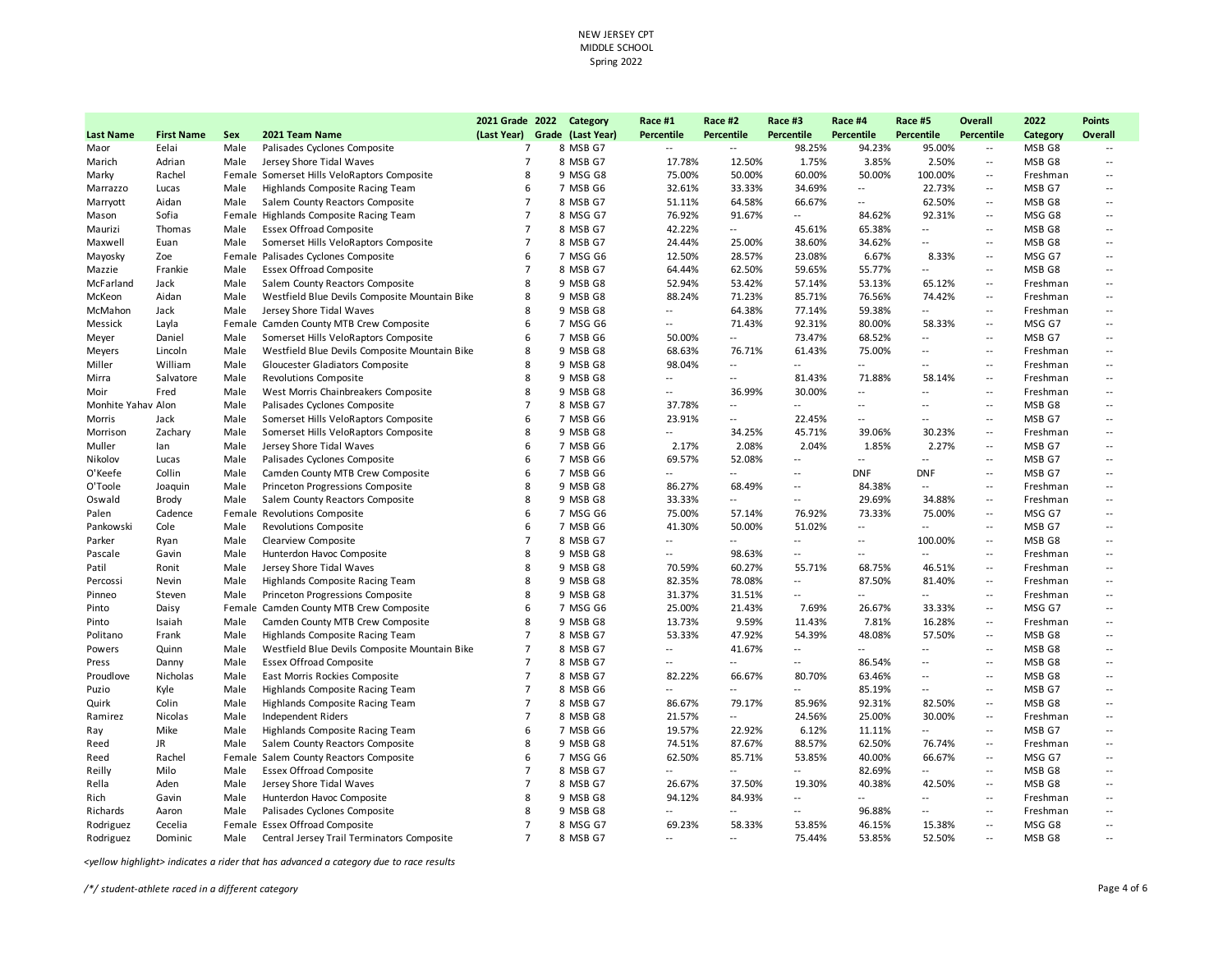|                    |                   |        |                                               | 2021 Grade 2022               | Category | Race #1                  | Race #2                  | Race #3                  | Race #4                  | Race #5                  | Overall                                       | 2022     | <b>Points</b>            |
|--------------------|-------------------|--------|-----------------------------------------------|-------------------------------|----------|--------------------------|--------------------------|--------------------------|--------------------------|--------------------------|-----------------------------------------------|----------|--------------------------|
| <b>Last Name</b>   | <b>First Name</b> | Sex    | 2021 Team Name                                | (Last Year) Grade (Last Year) |          | Percentile               | Percentile               | Percentile               | Percentile               | Percentile               | Percentile                                    | Category | <b>Overall</b>           |
| Maor               | Eelai             | Male   | Palisades Cyclones Composite                  | $\overline{7}$                | 8 MSB G7 | $\overline{a}$           | $\overline{\phantom{a}}$ | 98.25%                   | 94.23%                   | 95.00%                   | $\overline{\phantom{a}}$                      | MSB G8   |                          |
| Marich             | Adrian            | Male   | Jersey Shore Tidal Waves                      | $\overline{7}$                | 8 MSB G7 | 17.78%                   | 12.50%                   | 1.75%                    | 3.85%                    | 2.50%                    | $\overline{a}$                                | MSB G8   | $\overline{a}$           |
| Marky              | Rachel            |        | Female Somerset Hills VeloRaptors Composite   | 8                             | 9 MSG G8 | 75.00%                   | 50.00%                   | 60.00%                   | 50.00%                   | 100.00%                  | $\sim$                                        | Freshman | --                       |
| Marrazzo           | Lucas             | Male   | Highlands Composite Racing Team               | 6                             | 7 MSB G6 | 32.61%                   | 33.33%                   | 34.69%                   | $\overline{a}$           | 22.73%                   | $\sim$                                        | MSB G7   | $\overline{a}$           |
| Marryott           | Aidan             | Male   | Salem County Reactors Composite               | $\overline{7}$                | 8 MSB G7 | 51.11%                   | 64.58%                   | 66.67%                   | щ.                       | 62.50%                   | $\sim$                                        | MSB G8   | --                       |
| Mason              | Sofia             |        | Female Highlands Composite Racing Team        | $\overline{7}$                | 8 MSG G7 | 76.92%                   | 91.67%                   | $\overline{a}$           | 84.62%                   | 92.31%                   | $\overline{a}$                                | MSG G8   | $\overline{a}$           |
| Maurizi            | Thomas            | Male   | <b>Essex Offroad Composite</b>                | $\overline{7}$                | 8 MSB G7 | 42.22%                   | $\overline{\phantom{a}}$ | 45.61%                   | 65.38%                   | $\sim$                   | $\sim$                                        | MSB G8   | $\overline{a}$           |
| Maxwell            | Euan              | Male   | Somerset Hills VeloRaptors Composite          | $\overline{7}$                | 8 MSB G7 | 24.44%                   | 25.00%                   | 38.60%                   | 34.62%                   | $\overline{a}$           | $\sim$                                        | MSB G8   | $\overline{a}$           |
| Mayosky            | Zoe               | Female | Palisades Cyclones Composite                  | 6                             | 7 MSG G6 | 12.50%                   | 28.57%                   | 23.08%                   | 6.67%                    | 8.33%                    | $\sim$                                        | MSG G7   | --                       |
| Mazzie             | Frankie           | Male   | <b>Essex Offroad Composite</b>                | $\overline{7}$                | 8 MSB G7 | 64.44%                   | 62.50%                   | 59.65%                   | 55.77%                   | $\overline{a}$           | $\sim$                                        | MSB G8   | $\overline{a}$           |
| McFarland          | Jack              | Male   | Salem County Reactors Composite               | 8                             | 9 MSB G8 | 52.94%                   | 53.42%                   | 57.14%                   | 53.13%                   | 65.12%                   | $\sim$                                        | Freshman | --                       |
| McKeon             | Aidan             | Male   | Westfield Blue Devils Composite Mountain Bike | 8                             | 9 MSB G8 | 88.24%                   | 71.23%                   | 85.71%                   | 76.56%                   | 74.42%                   | $\sim$                                        | Freshman | $\overline{a}$           |
| McMahon            | Jack              | Male   | Jersey Shore Tidal Waves                      | 8                             | 9 MSB G8 | $\overline{\phantom{a}}$ | 64.38%                   | 77.14%                   | 59.38%                   | $\sim$                   | $\overline{\phantom{a}}$                      | Freshman | $\overline{\phantom{a}}$ |
| Messick            | Layla             | Female | Camden County MTB Crew Composite              | 6                             | 7 MSG G6 | $\ddotsc$                | 71.43%                   | 92.31%                   | 80.00%                   | 58.33%                   | $\sim$ $\sim$                                 | MSG G7   | $\overline{a}$           |
| Meyer              | Daniel            | Male   | Somerset Hills VeloRaptors Composite          | 6                             | 7 MSB G6 | 50.00%                   | $\sim$                   | 73.47%                   | 68.52%                   | $\overline{\phantom{a}}$ | $\sim$                                        | MSB G7   | $\overline{a}$           |
| Meyers             | Lincoln           | Male   | Westfield Blue Devils Composite Mountain Bike | 8                             | 9 MSB G8 | 68.63%                   | 76.71%                   | 61.43%                   | 75.00%                   | $\overline{a}$           | $\sim$                                        | Freshman | $\overline{\phantom{a}}$ |
| Miller             | William           | Male   | Gloucester Gladiators Composite               | 8                             | 9 MSB G8 | 98.04%                   | $\overline{\phantom{a}}$ | --                       | $\overline{a}$           | $\overline{\phantom{a}}$ | $\mathcal{L}_{\mathcal{A}}$                   | Freshman | --                       |
| Mirra              | Salvatore         | Male   | <b>Revolutions Composite</b>                  | 8                             | 9 MSB G8 | $\overline{a}$           | $\overline{a}$           | 81.43%                   | 71.88%                   | 58.14%                   | $\sim$                                        | Freshman | $\overline{\phantom{a}}$ |
| Moir               | Fred              | Male   | West Morris Chainbreakers Composite           | 8                             | 9 MSB G8 | $\overline{\phantom{a}}$ | 36.99%                   | 30.00%                   | $\overline{\phantom{a}}$ | $\overline{a}$           | $\overline{\phantom{a}}$                      | Freshman | $\overline{\phantom{a}}$ |
| Monhite Yahav Alon |                   | Male   | Palisades Cyclones Composite                  | $\overline{7}$                | 8 MSB G7 | 37.78%                   | $-$                      | $\overline{a}$           | $\overline{a}$           | $-$                      | $\sim$ $\sim$                                 | MSB G8   | $\overline{a}$           |
| Morris             | Jack              | Male   | Somerset Hills VeloRaptors Composite          | 6                             | 7 MSB G6 | 23.91%                   | $\sim$                   | 22.45%                   | --                       | $\overline{\phantom{a}}$ | $\sim$                                        | MSB G7   | --                       |
| Morrison           | Zachary           | Male   | Somerset Hills VeloRaptors Composite          | 8                             | 9 MSB G8 | $\overline{\phantom{a}}$ | 34.25%                   | 45.71%                   | 39.06%                   | 30.23%                   | $\sim$                                        | Freshman | --                       |
| Muller             | lan               | Male   | Jersey Shore Tidal Waves                      | 6                             | 7 MSB G6 | 2.17%                    | 2.08%                    | 2.04%                    | 1.85%                    | 2.27%                    | $\sim$                                        | MSB G7   | $\overline{a}$           |
| Nikolov            | Lucas             | Male   | Palisades Cyclones Composite                  | 6                             | 7 MSB G6 | 69.57%                   | 52.08%                   | $\overline{a}$           | $\overline{a}$           | $\overline{a}$           | $\sim$                                        | MSB G7   | $\overline{a}$           |
| O'Keefe            | Collin            | Male   | Camden County MTB Crew Composite              | 6                             | 7 MSB G6 |                          | $\overline{a}$           | $\overline{a}$           | <b>DNF</b>               | <b>DNF</b>               | $\overline{\phantom{a}}$                      | MSB G7   | $\overline{a}$           |
| O'Toole            | Joaquin           | Male   | Princeton Progressions Composite              | 8                             | 9 MSB G8 | 86.27%                   | 68.49%                   | $\overline{\phantom{a}}$ | 84.38%                   | $\overline{\phantom{a}}$ | $\sim$ $\sim$                                 | Freshman | --                       |
| Oswald             | Brody             | Male   | Salem County Reactors Composite               | 8                             | 9 MSB G8 | 33.33%                   | $\overline{\phantom{a}}$ | $\overline{a}$           | 29.69%                   | 34.88%                   | $\sim$                                        | Freshman | $\overline{a}$           |
| Palen              | Cadence           | Female | <b>Revolutions Composite</b>                  | 6                             | 7 MSG G6 | 75.00%                   | 57.14%                   | 76.92%                   | 73.33%                   | 75.00%                   | $\sim$                                        | MSG G7   | $\overline{a}$           |
| Pankowski          | Cole              | Male   | <b>Revolutions Composite</b>                  | 6                             | 7 MSB G6 | 41.30%                   | 50.00%                   | 51.02%                   | --                       | $\overline{a}$           | $\sim$                                        | MSB G7   | --                       |
| Parker             | Ryan              | Male   | Clearview Composite                           | $\overline{7}$                | 8 MSB G7 | $\overline{a}$           | $\overline{\phantom{a}}$ | $\overline{a}$           | $\overline{a}$           | 100.00%                  | $\sim$                                        | MSB G8   | $\overline{a}$           |
| Pascale            | Gavin             | Male   | Hunterdon Havoc Composite                     | 8                             | 9 MSB G8 | $\overline{\phantom{a}}$ | 98.63%                   | $\overline{\phantom{a}}$ | $\overline{a}$           | $\overline{a}$           | $\sim$                                        | Freshman | $\overline{\phantom{a}}$ |
| Patil              | Ronit             | Male   | Jersey Shore Tidal Waves                      | 8                             | 9 MSB G8 | 70.59%                   | 60.27%                   | 55.71%                   | 68.75%                   | 46.51%                   | $\sim$ $\sim$                                 | Freshman | $\overline{\phantom{a}}$ |
| Percossi           | Nevin             | Male   | Highlands Composite Racing Team               | 8                             | 9 MSB G8 | 82.35%                   | 78.08%                   | $\overline{\phantom{a}}$ | 87.50%                   | 81.40%                   | $\sim$                                        | Freshman | $\overline{a}$           |
| Pinneo             | Steven            | Male   | Princeton Progressions Composite              | 8                             | 9 MSB G8 | 31.37%                   | 31.51%                   | $\overline{a}$           | $\overline{\phantom{a}}$ | $\sim$                   | $\sim$                                        | Freshman | --                       |
| Pinto              | Daisy             | Female | Camden County MTB Crew Composite              | 6                             | 7 MSG G6 | 25.00%                   | 21.43%                   | 7.69%                    | 26.67%                   | 33.33%                   | $\overline{\phantom{a}}$                      | MSG G7   | $\overline{\phantom{a}}$ |
| Pinto              | Isaiah            | Male   | Camden County MTB Crew Composite              | 8                             | 9 MSB G8 | 13.73%                   | 9.59%                    | 11.43%                   | 7.81%                    | 16.28%                   | $\mathord{\hspace{1pt}\text{--}\hspace{1pt}}$ | Freshman | $\overline{a}$           |
| Politano           | Frank             | Male   | Highlands Composite Racing Team               | $\overline{7}$                | 8 MSB G7 | 53.33%                   | 47.92%                   | 54.39%                   | 48.08%                   | 57.50%                   | $\overline{\phantom{a}}$                      | MSB G8   | --                       |
| Powers             | Quinn             | Male   | Westfield Blue Devils Composite Mountain Bike | $\overline{7}$                | 8 MSB G7 | $\overline{a}$           | 41.67%                   | $\overline{a}$           | $\overline{a}$           | $\sim$                   | $\mathcal{L}_{\mathcal{A}}$                   | MSB G8   | $\overline{a}$           |
| Press              | Danny             | Male   | <b>Essex Offroad Composite</b>                | $\overline{7}$                | 8 MSB G7 | $\ddotsc$                | $\overline{a}$           | $\overline{a}$           | 86.54%                   | $\overline{\phantom{a}}$ | $\sim$                                        | MSB G8   | $\overline{a}$           |
| Proudlove          | Nicholas          | Male   | East Morris Rockies Composite                 | $\overline{7}$                | 8 MSB G7 | 82.22%                   | 66.67%                   | 80.70%                   | 63.46%                   | $\overline{\phantom{a}}$ | $\overline{\phantom{a}}$                      | MSB G8   | $\overline{a}$           |
| Puzio              | Kyle              | Male   | Highlands Composite Racing Team               | $\overline{7}$                | 8 MSB G6 |                          | $\overline{\phantom{a}}$ | $\overline{a}$           | 85.19%                   | $\sim$                   | $\sim$ $\sim$                                 | MSB G7   | $\overline{\phantom{a}}$ |
| Quirk              | Colin             | Male   | Highlands Composite Racing Team               | $\overline{7}$                | 8 MSB G7 | 86.67%                   | 79.17%                   | 85.96%                   | 92.31%                   | 82.50%                   | $\sim$                                        | MSB G8   | $\overline{\phantom{a}}$ |
| Ramirez            | Nicolas           | Male   | Independent Riders                            | $\overline{7}$                | 8 MSB G8 | 21.57%                   | $\overline{a}$           | 24.56%                   | 25.00%                   | 30.00%                   | $\sim$                                        | Freshman | --                       |
| Ray                | Mike              | Male   | Highlands Composite Racing Team               | 6                             | 7 MSB G6 | 19.57%                   | 22.92%                   | 6.12%                    | 11.11%                   | $\sim$                   | $\overline{\phantom{a}}$                      | MSB G7   | $\overline{a}$           |
| Reed               | <b>JR</b>         | Male   | Salem County Reactors Composite               | 8                             | 9 MSB G8 | 74.51%                   | 87.67%                   | 88.57%                   | 62.50%                   | 76.74%                   | $\overline{a}$                                | Freshman | $\overline{\phantom{a}}$ |
| Reed               | Rachel            | Female | Salem County Reactors Composite               | 6                             | 7 MSG G6 | 62.50%                   | 85.71%                   | 53.85%                   | 40.00%                   | 66.67%                   | $\mathord{\hspace{1pt}\text{--}\hspace{1pt}}$ | MSG G7   | $\overline{a}$           |
| Reilly             | Milo              | Male   | <b>Essex Offroad Composite</b>                | $\overline{7}$                | 8 MSB G7 |                          | $\overline{a}$           | $\overline{a}$           | 82.69%                   | $\overline{a}$           | $\overline{\phantom{a}}$                      | MSB G8   | $\overline{\phantom{a}}$ |
| Rella              | Aden              | Male   | Jersey Shore Tidal Waves                      | $\overline{7}$                | 8 MSB G7 | 26.67%                   | 37.50%                   | 19.30%                   | 40.38%                   | 42.50%                   | $\sim$                                        | MSB G8   | $\overline{a}$           |
| Rich               | Gavin             | Male   | Hunterdon Havoc Composite                     | 8                             | 9 MSB G8 | 94.12%                   | 84.93%                   | $\overline{\phantom{a}}$ | $\overline{a}$           | $\overline{a}$           | $\sim$                                        | Freshman | --                       |
| Richards           | Aaron             | Male   | Palisades Cyclones Composite                  | 8                             | 9 MSB G8 | $\overline{\phantom{a}}$ | --                       | $\overline{\phantom{a}}$ | 96.88%                   | --                       | $\sim$                                        | Freshman | --                       |
| Rodriguez          | Cecelia           |        | Female Essex Offroad Composite                | $\overline{7}$                | 8 MSG G7 | 69.23%                   | 58.33%                   | 53.85%                   | 46.15%                   | 15.38%                   | $\overline{a}$                                | MSG G8   | --                       |
| Rodriguez          | Dominic           | Male   | Central Jersey Trail Terminators Composite    | $\overline{7}$                | 8 MSB G7 | $\overline{a}$           | $-$                      | 75.44%                   | 53.85%                   | 52.50%                   | $\sim$ $\sim$                                 | MSB G8   | $\overline{a}$           |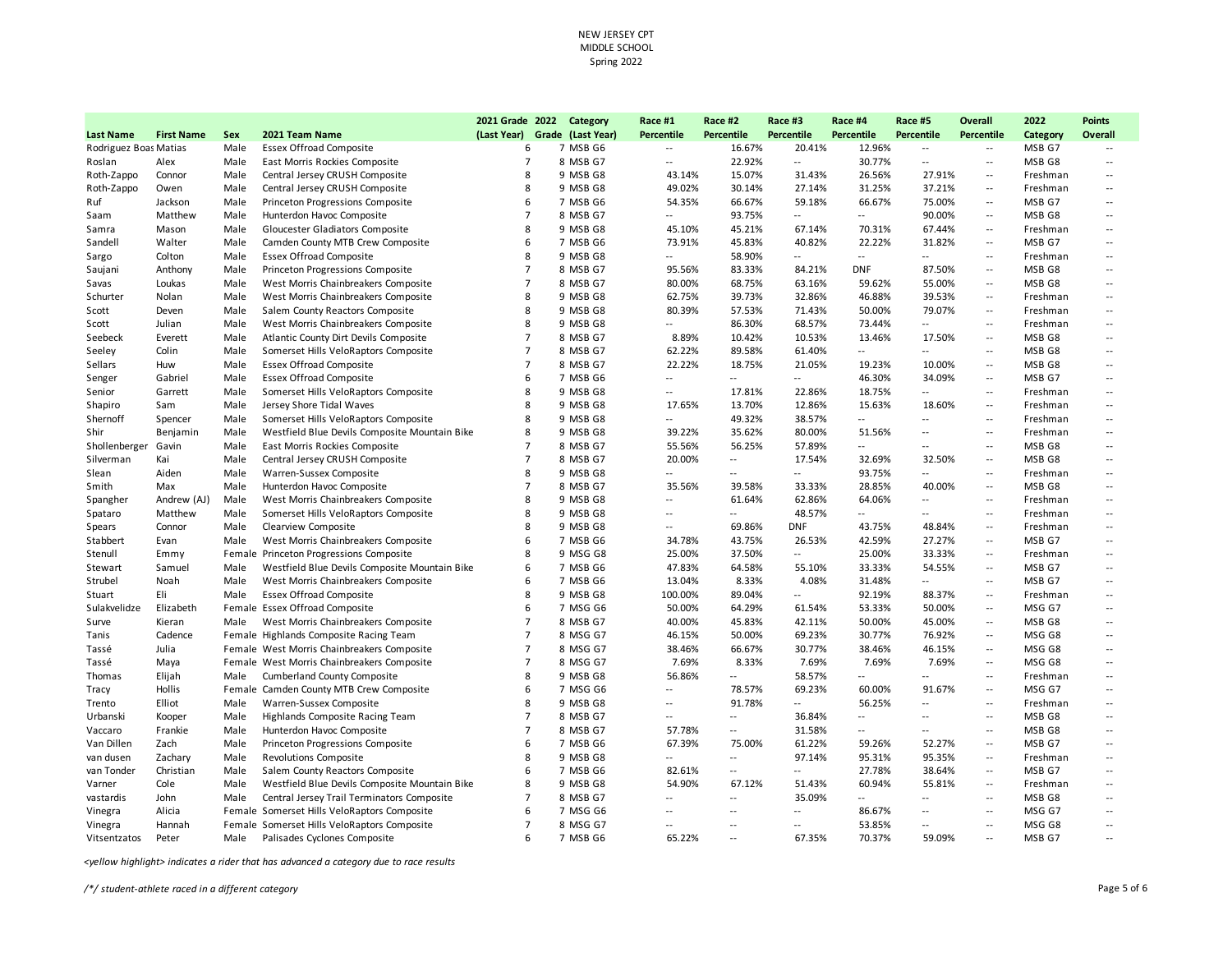| (Last Year) Grade (Last Year)<br>Percentile<br>Percentile<br>Percentile<br><b>Percentile</b><br>Percentile<br>Percentile<br><b>Last Name</b><br><b>First Name</b><br>Sex<br>2021 Team Name<br>Category<br>Rodriguez Boas Matias<br>Male<br><b>Essex Offroad Composite</b><br>6<br>7 MSB G6<br>16.67%<br>20.41%<br>12.96%<br>MSB G7<br>$\overline{\phantom{a}}$<br>$\sim$<br>$\sim$<br>$\overline{7}$<br>East Morris Rockies Composite<br>8 MSB G7<br>22.92%<br>30.77%<br>MSB G8<br>Roslan<br>Alex<br>Male<br>$\overline{\phantom{a}}$<br>$\overline{\phantom{a}}$<br>$\overline{\phantom{a}}$<br>$\overline{\phantom{a}}$<br>15.07%<br>Central Jersey CRUSH Composite<br>8<br>9 MSB G8<br>43.14%<br>31.43%<br>26.56%<br>27.91%<br>Freshman<br>Roth-Zappo<br>Connor<br>Male<br>$\sim$<br>Roth-Zappo<br>Owen<br>Male<br>Central Jersey CRUSH Composite<br>8<br>9 MSB G8<br>49.02%<br>30.14%<br>27.14%<br>31.25%<br>37.21%<br>Freshman<br>$\overline{\phantom{a}}$<br>6<br>66.67%<br>59.18%<br>66.67%<br>75.00%<br>Jackson<br>Male<br>Princeton Progressions Composite<br>7 MSB G6<br>54.35%<br>MSB G7<br>Ruf<br>$\sim$<br>$\overline{7}$<br>93.75%<br>90.00%<br>MSB G8<br>Matthew<br>Male<br>Hunterdon Havoc Composite<br>8 MSB G7<br>$\overline{a}$<br>$\overline{\phantom{a}}$<br>$\overline{a}$<br>Saam<br>$\sim$<br>8<br>9 MSB G8<br>45.21%<br>70.31%<br>67.44%<br>Male<br>Gloucester Gladiators Composite<br>45.10%<br>67.14%<br>Freshman<br>Samra<br>Mason<br>$\sim$<br>6<br>73.91%<br>45.83%<br>40.82%<br>22.22%<br>31.82%<br>MSB G7<br>Sandell<br>Walter<br>Male<br>Camden County MTB Crew Composite<br>7 MSB G6<br>$\overline{a}$<br>58.90%<br>Male<br><b>Essex Offroad Composite</b><br>8<br>9 MSB G8<br>Colton<br>$\overline{\phantom{a}}$<br>$\overline{\phantom{a}}$<br>$\sim$<br>Freshman<br>Sargo<br>$\overline{\phantom{a}}$<br>$\sim$ $\sim$<br>$\overline{7}$<br>Male<br>Princeton Progressions Composite<br>8 MSB G7<br>95.56%<br>83.33%<br>84.21%<br><b>DNF</b><br>87.50%<br>MSB G8<br>Saujani<br>Anthony<br>$\overline{\phantom{a}}$<br>$\overline{7}$<br>West Morris Chainbreakers Composite<br>8 MSB G7<br>80.00%<br>68.75%<br>63.16%<br>59.62%<br>55.00%<br>MSB G8<br>Savas<br>Loukas<br>Male<br>$\overline{\phantom{a}}$<br>8<br>39.73%<br>46.88%<br>Schurter<br>Nolan<br>Male<br>West Morris Chainbreakers Composite<br>9 MSB G8<br>62.75%<br>32.86%<br>39.53%<br>Freshman<br>$\sim$<br>8<br>57.53%<br>50.00%<br>79.07%<br>Male<br>Salem County Reactors Composite<br>9 MSB G8<br>80.39%<br>71.43%<br>Freshman<br>Scott<br>Deven<br>$\sim$<br>8<br>86.30%<br>68.57%<br>73.44%<br>Scott<br>Julian<br>Male<br>West Morris Chainbreakers Composite<br>9 MSB G8<br>$\overline{\phantom{a}}$<br>$\overline{a}$<br>Freshman<br>$\sim$<br>$\overline{7}$<br>8 MSB G7<br>10.42%<br>Seebeck<br>Everett<br>Male<br>Atlantic County Dirt Devils Composite<br>8.89%<br>10.53%<br>13.46%<br>17.50%<br>MSB G8<br>$\sim$<br>89.58%<br>Colin<br>Male<br>Somerset Hills VeloRaptors Composite<br>$\overline{7}$<br>8 MSB G7<br>62.22%<br>61.40%<br>Щ.<br>MSB G8<br>Seeley<br>$\overline{a}$<br>$\sim$<br>$\overline{7}$<br>Male<br><b>Essex Offroad Composite</b><br>8 MSB G7<br>22.22%<br>18.75%<br>21.05%<br>19.23%<br>10.00%<br>MSB G8<br>Sellars<br>Huw<br>$\overline{\phantom{a}}$<br>Gabriel<br>Male<br><b>Essex Offroad Composite</b><br>6<br>7 MSB G6<br>46.30%<br>34.09%<br>MSB G7<br>Senger<br>$\overline{a}$<br>$\overline{a}$<br>$\overline{a}$<br>$\sim$ $\sim$<br>8<br>Senior<br>Male<br>Somerset Hills VeloRaptors Composite<br>9 MSB G8<br>17.81%<br>22.86%<br>18.75%<br>Freshman<br>Garrett<br>$\ddotsc$<br>$\sim$<br>$\sim$<br>8<br>9 MSB G8<br>17.65%<br>13.70%<br>12.86%<br>15.63%<br>18.60%<br>Male<br>Jersey Shore Tidal Waves<br>Freshman<br>Shapiro<br>Sam<br>$\overline{\phantom{a}}$<br>8<br>49.32%<br>38.57%<br>Shernoff<br>Spencer<br>Male<br>Somerset Hills VeloRaptors Composite<br>9 MSB G8<br>$\overline{a}$<br>--<br>Freshman<br>$\overline{\phantom{a}}$<br>$\sim$<br>Male<br>8<br>9 MSB G8<br>39.22%<br>35.62%<br>80.00%<br>51.56%<br>Shir<br>Benjamin<br>Westfield Blue Devils Composite Mountain Bike<br>Freshman<br>$\sim$ $\sim$<br>$\overline{a}$<br>$\overline{7}$<br>56.25%<br>Shollenberger<br>Gavin<br>Male<br>East Morris Rockies Composite<br>8 MSB G7<br>55.56%<br>57.89%<br>MSB G8<br>$\overline{a}$<br>$\sim$<br>$\sim$<br>Silverman<br>Male<br>Central Jersey CRUSH Composite<br>$\overline{7}$<br>8 MSB G7<br>20.00%<br>17.54%<br>32.69%<br>32.50%<br>MSB G8<br>Kai<br>$\overline{\phantom{a}}$<br>$\sim$<br>8<br>Aiden<br>Male<br>Warren-Sussex Composite<br>9 MSB G8<br>93.75%<br>Freshman<br>Slean<br>$\overline{\phantom{a}}$<br>$\overline{\phantom{a}}$<br>$\sim$<br>$\overline{\phantom{a}}$<br>$\overline{\phantom{a}}$<br>Male<br>$\overline{7}$<br>35.56%<br>39.58%<br>28.85%<br>40.00%<br>Smith<br>Max<br>Hunterdon Havoc Composite<br>8 MSB G7<br>33.33%<br>MSB G8<br>$\sim$<br>8<br>Spangher<br>Andrew (AJ)<br>Male<br>West Morris Chainbreakers Composite<br>9 MSB G8<br>61.64%<br>62.86%<br>64.06%<br>Freshman<br>$\overline{\phantom{a}}$<br>$\overline{\phantom{a}}$<br>$\overline{a}$<br>8<br>9 MSB G8<br>48.57%<br>Spataro<br>Matthew<br>Male<br>Somerset Hills VeloRaptors Composite<br>Freshman<br>$\overline{a}$<br>$\overline{a}$<br>$\overline{a}$<br>$\sim$<br>$\sim$<br>8<br>69.86%<br>43.75%<br>Spears<br>Connor<br>Male<br>Clearview Composite<br>9 MSB G8<br><b>DNF</b><br>48.84%<br>$\sim$<br>Freshman<br>$\overline{\phantom{a}}$<br>6<br>43.75%<br>27.27%<br>Male<br>West Morris Chainbreakers Composite<br>7 MSB G6<br>34.78%<br>26.53%<br>42.59%<br>MSB G7<br>Stabbert<br>Evan<br>$\mathcal{L}_{\mathcal{F}}$<br>Princeton Progressions Composite<br>8<br>9 MSG G8<br>25.00%<br>37.50%<br>25.00%<br>33.33%<br>Stenull<br>Emmy<br>Female<br>$\overline{a}$<br>$\overline{\phantom{a}}$<br>Freshman<br>64.58%<br>54.55%<br>Westfield Blue Devils Composite Mountain Bike<br>6<br>7 MSB G6<br>47.83%<br>55.10%<br>33.33%<br>MSB G7<br>Stewart<br>Samuel<br>Male<br>$\sim$<br>Strubel<br>Noah<br>Male<br>West Morris Chainbreakers Composite<br>6<br>7 MSB G6<br>13.04%<br>8.33%<br>4.08%<br>31.48%<br>MSB G7<br>$\overline{a}$<br>$\overline{\phantom{a}}$<br>Eli<br>Male<br>8<br>100.00%<br>89.04%<br>92.19%<br>88.37%<br><b>Essex Offroad Composite</b><br>9 MSB G8<br><br>Stuart<br>$\overline{\phantom{a}}$<br>Freshman<br>6<br>Female Essex Offroad Composite<br>7 MSG G6<br>50.00%<br>64.29%<br>61.54%<br>53.33%<br>50.00%<br>MSG G7<br>Sulakvelidze<br>Elizabeth<br>$\overline{a}$<br>$\overline{7}$<br>West Morris Chainbreakers Composite<br>8 MSB G7<br>45.83%<br>50.00%<br>45.00%<br>Kieran<br>Male<br>40.00%<br>42.11%<br>MSB G8<br>Surve<br>$\sim$<br>Cadence<br>Female Highlands Composite Racing Team<br>$\overline{7}$<br>8 MSG G7<br>46.15%<br>50.00%<br>69.23%<br>30.77%<br>76.92%<br>MSG G8<br>Tanis<br>$\overline{a}$<br>$\overline{7}$<br>66.67%<br>8 MSG G7<br>38.46%<br>30.77%<br>38.46%<br>46.15%<br>MSG G8<br>Tassé<br>Julia<br>Female West Morris Chainbreakers Composite<br>$\mathcal{L}_{\mathcal{F}}$<br>$\overline{7}$<br>Female West Morris Chainbreakers Composite<br>8 MSG G7<br>7.69%<br>8.33%<br>7.69%<br>7.69%<br>7.69%<br>MSG G8<br>Tassé<br>Maya<br>$\overline{\phantom{a}}$<br>8<br>Male<br><b>Cumberland County Composite</b><br>9 MSB G8<br>56.86%<br>58.57%<br>Freshman<br>Thomas<br>Elijah<br>$\overline{a}$<br>$\overline{\phantom{a}}$<br>$\overline{\phantom{a}}$<br>$\overline{a}$<br>91.67%<br>Hollis<br>Female Camden County MTB Crew Composite<br>6<br>7 MSG G6<br>78.57%<br>69.23%<br>60.00%<br>MSG G7<br>Tracy<br>$\overline{\phantom{a}}$<br>$\sim$<br>8<br>9 MSB G8<br>91.78%<br>Elliot<br>Male<br>Warren-Sussex Composite<br>56.25%<br>Freshman<br>Trento<br>$\overline{\phantom{a}}$<br>$\overline{\phantom{a}}$<br>$\overline{\phantom{a}}$<br>$\sim$<br>$\overline{7}$<br>MSB G8<br>Urbanski<br>Kooper<br>Male<br>Highlands Composite Racing Team<br>8 MSB G7<br>36.84%<br>$\overline{\phantom{a}}$<br>$\overline{\phantom{a}}$<br>$\overline{\phantom{a}}$<br>$\sim$<br>$\overline{a}$<br>$\overline{7}$<br>8 MSB G7<br>31.58%<br>MSB G8<br>Frankie<br>Male<br>Hunterdon Havoc Composite<br>57.78%<br>Vaccaro<br>$\overline{\phantom{a}}$<br>$\overline{a}$<br>$\overline{a}$<br>$-$<br>Van Dillen<br>Zach<br>Male<br>Princeton Progressions Composite<br>6<br>7 MSB G6<br>67.39%<br>75.00%<br>61.22%<br>59.26%<br>52.27%<br>MSB G7<br>$\overline{\phantom{a}}$<br>8<br>Male<br><b>Revolutions Composite</b><br>9 MSB G8<br>97.14%<br>95.31%<br>95.35%<br>van dusen<br>Zachary<br>$\overline{\phantom{a}}$<br>Freshman<br>$\overline{\phantom{a}}$<br>van Tonder<br>Christian<br>Male<br>Salem County Reactors Composite<br>6<br>7 MSB G6<br>82.61%<br>27.78%<br>38.64%<br>MSB G7<br>$\overline{a}$<br>$\overline{\phantom{a}}$<br>$\sim$ $\sim$ |  |  | 2021 Grade 2022 Category |  | Race #1 | Race #2 | Race #3 | Race #4 | Race #5 | <b>Overall</b> | 2022 | <b>Points</b>            |
|------------------------------------------------------------------------------------------------------------------------------------------------------------------------------------------------------------------------------------------------------------------------------------------------------------------------------------------------------------------------------------------------------------------------------------------------------------------------------------------------------------------------------------------------------------------------------------------------------------------------------------------------------------------------------------------------------------------------------------------------------------------------------------------------------------------------------------------------------------------------------------------------------------------------------------------------------------------------------------------------------------------------------------------------------------------------------------------------------------------------------------------------------------------------------------------------------------------------------------------------------------------------------------------------------------------------------------------------------------------------------------------------------------------------------------------------------------------------------------------------------------------------------------------------------------------------------------------------------------------------------------------------------------------------------------------------------------------------------------------------------------------------------------------------------------------------------------------------------------------------------------------------------------------------------------------------------------------------------------------------------------------------------------------------------------------------------------------------------------------------------------------------------------------------------------------------------------------------------------------------------------------------------------------------------------------------------------------------------------------------------------------------------------------------------------------------------------------------------------------------------------------------------------------------------------------------------------------------------------------------------------------------------------------------------------------------------------------------------------------------------------------------------------------------------------------------------------------------------------------------------------------------------------------------------------------------------------------------------------------------------------------------------------------------------------------------------------------------------------------------------------------------------------------------------------------------------------------------------------------------------------------------------------------------------------------------------------------------------------------------------------------------------------------------------------------------------------------------------------------------------------------------------------------------------------------------------------------------------------------------------------------------------------------------------------------------------------------------------------------------------------------------------------------------------------------------------------------------------------------------------------------------------------------------------------------------------------------------------------------------------------------------------------------------------------------------------------------------------------------------------------------------------------------------------------------------------------------------------------------------------------------------------------------------------------------------------------------------------------------------------------------------------------------------------------------------------------------------------------------------------------------------------------------------------------------------------------------------------------------------------------------------------------------------------------------------------------------------------------------------------------------------------------------------------------------------------------------------------------------------------------------------------------------------------------------------------------------------------------------------------------------------------------------------------------------------------------------------------------------------------------------------------------------------------------------------------------------------------------------------------------------------------------------------------------------------------------------------------------------------------------------------------------------------------------------------------------------------------------------------------------------------------------------------------------------------------------------------------------------------------------------------------------------------------------------------------------------------------------------------------------------------------------------------------------------------------------------------------------------------------------------------------------------------------------------------------------------------------------------------------------------------------------------------------------------------------------------------------------------------------------------------------------------------------------------------------------------------------------------------------------------------------------------------------------------------------------------------------------------------------------------------------------------------------------------------------------------------------------------------------------------------------------------------------------------------------------------------------------------------------------------------------------------------------------------------------------------------------------------------------------------------------------------------------------------------------------------------------------------------------------------------------------------------------------------------------------------------------------------------------------------------------------------------------------------------------------------------------------------------------------------------------------------------------------------------------------------------------------------------------------------------------------------------------------------------------------------------------------------------------------------------------------------------------------------------------------------------------------------------------------------------------------------------------------------------------------------------------------------------------------------------------------------------------------------------------------------------------------------------------------------------------------------------------------------------------------------------------------------------------------------------------------------------------------------------------------------------------------------------------------------------------------------------------------------------------------------------------------------------------------------------------------------------------------------------------------------------------------------------------------------------------------------------------------------------------------------------------------------------------------------------------------------------------------------------------------------------------------------------------------------------------------------------------------------------------------------------------------------------------------------------------------------------------------------------------------------------------------------------------------------------------------------------------------------------------------------------------------------------------------------------------|--|--|--------------------------|--|---------|---------|---------|---------|---------|----------------|------|--------------------------|
|                                                                                                                                                                                                                                                                                                                                                                                                                                                                                                                                                                                                                                                                                                                                                                                                                                                                                                                                                                                                                                                                                                                                                                                                                                                                                                                                                                                                                                                                                                                                                                                                                                                                                                                                                                                                                                                                                                                                                                                                                                                                                                                                                                                                                                                                                                                                                                                                                                                                                                                                                                                                                                                                                                                                                                                                                                                                                                                                                                                                                                                                                                                                                                                                                                                                                                                                                                                                                                                                                                                                                                                                                                                                                                                                                                                                                                                                                                                                                                                                                                                                                                                                                                                                                                                                                                                                                                                                                                                                                                                                                                                                                                                                                                                                                                                                                                                                                                                                                                                                                                                                                                                                                                                                                                                                                                                                                                                                                                                                                                                                                                                                                                                                                                                                                                                                                                                                                                                                                                                                                                                                                                                                                                                                                                                                                                                                                                                                                                                                                                                                                                                                                                                                                                                                                                                                                                                                                                                                                                                                                                                                                                                                                                                                                                                                                                                                                                                                                                                                                                                                                                                                                                                                                                                                                                                                                                                                                                                                                                                                                                                                                                                                                                                                                                                                                                                                                                                                                                                                                                                                                                                                                                                                                                                                                                                                                                                                                                      |  |  |                          |  |         |         |         |         |         |                |      | <b>Overall</b>           |
|                                                                                                                                                                                                                                                                                                                                                                                                                                                                                                                                                                                                                                                                                                                                                                                                                                                                                                                                                                                                                                                                                                                                                                                                                                                                                                                                                                                                                                                                                                                                                                                                                                                                                                                                                                                                                                                                                                                                                                                                                                                                                                                                                                                                                                                                                                                                                                                                                                                                                                                                                                                                                                                                                                                                                                                                                                                                                                                                                                                                                                                                                                                                                                                                                                                                                                                                                                                                                                                                                                                                                                                                                                                                                                                                                                                                                                                                                                                                                                                                                                                                                                                                                                                                                                                                                                                                                                                                                                                                                                                                                                                                                                                                                                                                                                                                                                                                                                                                                                                                                                                                                                                                                                                                                                                                                                                                                                                                                                                                                                                                                                                                                                                                                                                                                                                                                                                                                                                                                                                                                                                                                                                                                                                                                                                                                                                                                                                                                                                                                                                                                                                                                                                                                                                                                                                                                                                                                                                                                                                                                                                                                                                                                                                                                                                                                                                                                                                                                                                                                                                                                                                                                                                                                                                                                                                                                                                                                                                                                                                                                                                                                                                                                                                                                                                                                                                                                                                                                                                                                                                                                                                                                                                                                                                                                                                                                                                                                                      |  |  |                          |  |         |         |         |         |         |                |      | $\overline{a}$           |
|                                                                                                                                                                                                                                                                                                                                                                                                                                                                                                                                                                                                                                                                                                                                                                                                                                                                                                                                                                                                                                                                                                                                                                                                                                                                                                                                                                                                                                                                                                                                                                                                                                                                                                                                                                                                                                                                                                                                                                                                                                                                                                                                                                                                                                                                                                                                                                                                                                                                                                                                                                                                                                                                                                                                                                                                                                                                                                                                                                                                                                                                                                                                                                                                                                                                                                                                                                                                                                                                                                                                                                                                                                                                                                                                                                                                                                                                                                                                                                                                                                                                                                                                                                                                                                                                                                                                                                                                                                                                                                                                                                                                                                                                                                                                                                                                                                                                                                                                                                                                                                                                                                                                                                                                                                                                                                                                                                                                                                                                                                                                                                                                                                                                                                                                                                                                                                                                                                                                                                                                                                                                                                                                                                                                                                                                                                                                                                                                                                                                                                                                                                                                                                                                                                                                                                                                                                                                                                                                                                                                                                                                                                                                                                                                                                                                                                                                                                                                                                                                                                                                                                                                                                                                                                                                                                                                                                                                                                                                                                                                                                                                                                                                                                                                                                                                                                                                                                                                                                                                                                                                                                                                                                                                                                                                                                                                                                                                                                      |  |  |                          |  |         |         |         |         |         |                |      | $\overline{\phantom{a}}$ |
|                                                                                                                                                                                                                                                                                                                                                                                                                                                                                                                                                                                                                                                                                                                                                                                                                                                                                                                                                                                                                                                                                                                                                                                                                                                                                                                                                                                                                                                                                                                                                                                                                                                                                                                                                                                                                                                                                                                                                                                                                                                                                                                                                                                                                                                                                                                                                                                                                                                                                                                                                                                                                                                                                                                                                                                                                                                                                                                                                                                                                                                                                                                                                                                                                                                                                                                                                                                                                                                                                                                                                                                                                                                                                                                                                                                                                                                                                                                                                                                                                                                                                                                                                                                                                                                                                                                                                                                                                                                                                                                                                                                                                                                                                                                                                                                                                                                                                                                                                                                                                                                                                                                                                                                                                                                                                                                                                                                                                                                                                                                                                                                                                                                                                                                                                                                                                                                                                                                                                                                                                                                                                                                                                                                                                                                                                                                                                                                                                                                                                                                                                                                                                                                                                                                                                                                                                                                                                                                                                                                                                                                                                                                                                                                                                                                                                                                                                                                                                                                                                                                                                                                                                                                                                                                                                                                                                                                                                                                                                                                                                                                                                                                                                                                                                                                                                                                                                                                                                                                                                                                                                                                                                                                                                                                                                                                                                                                                                                      |  |  |                          |  |         |         |         |         |         |                |      | $\overline{a}$           |
|                                                                                                                                                                                                                                                                                                                                                                                                                                                                                                                                                                                                                                                                                                                                                                                                                                                                                                                                                                                                                                                                                                                                                                                                                                                                                                                                                                                                                                                                                                                                                                                                                                                                                                                                                                                                                                                                                                                                                                                                                                                                                                                                                                                                                                                                                                                                                                                                                                                                                                                                                                                                                                                                                                                                                                                                                                                                                                                                                                                                                                                                                                                                                                                                                                                                                                                                                                                                                                                                                                                                                                                                                                                                                                                                                                                                                                                                                                                                                                                                                                                                                                                                                                                                                                                                                                                                                                                                                                                                                                                                                                                                                                                                                                                                                                                                                                                                                                                                                                                                                                                                                                                                                                                                                                                                                                                                                                                                                                                                                                                                                                                                                                                                                                                                                                                                                                                                                                                                                                                                                                                                                                                                                                                                                                                                                                                                                                                                                                                                                                                                                                                                                                                                                                                                                                                                                                                                                                                                                                                                                                                                                                                                                                                                                                                                                                                                                                                                                                                                                                                                                                                                                                                                                                                                                                                                                                                                                                                                                                                                                                                                                                                                                                                                                                                                                                                                                                                                                                                                                                                                                                                                                                                                                                                                                                                                                                                                                                      |  |  |                          |  |         |         |         |         |         |                |      | $\overline{a}$           |
|                                                                                                                                                                                                                                                                                                                                                                                                                                                                                                                                                                                                                                                                                                                                                                                                                                                                                                                                                                                                                                                                                                                                                                                                                                                                                                                                                                                                                                                                                                                                                                                                                                                                                                                                                                                                                                                                                                                                                                                                                                                                                                                                                                                                                                                                                                                                                                                                                                                                                                                                                                                                                                                                                                                                                                                                                                                                                                                                                                                                                                                                                                                                                                                                                                                                                                                                                                                                                                                                                                                                                                                                                                                                                                                                                                                                                                                                                                                                                                                                                                                                                                                                                                                                                                                                                                                                                                                                                                                                                                                                                                                                                                                                                                                                                                                                                                                                                                                                                                                                                                                                                                                                                                                                                                                                                                                                                                                                                                                                                                                                                                                                                                                                                                                                                                                                                                                                                                                                                                                                                                                                                                                                                                                                                                                                                                                                                                                                                                                                                                                                                                                                                                                                                                                                                                                                                                                                                                                                                                                                                                                                                                                                                                                                                                                                                                                                                                                                                                                                                                                                                                                                                                                                                                                                                                                                                                                                                                                                                                                                                                                                                                                                                                                                                                                                                                                                                                                                                                                                                                                                                                                                                                                                                                                                                                                                                                                                                                      |  |  |                          |  |         |         |         |         |         |                |      | --                       |
|                                                                                                                                                                                                                                                                                                                                                                                                                                                                                                                                                                                                                                                                                                                                                                                                                                                                                                                                                                                                                                                                                                                                                                                                                                                                                                                                                                                                                                                                                                                                                                                                                                                                                                                                                                                                                                                                                                                                                                                                                                                                                                                                                                                                                                                                                                                                                                                                                                                                                                                                                                                                                                                                                                                                                                                                                                                                                                                                                                                                                                                                                                                                                                                                                                                                                                                                                                                                                                                                                                                                                                                                                                                                                                                                                                                                                                                                                                                                                                                                                                                                                                                                                                                                                                                                                                                                                                                                                                                                                                                                                                                                                                                                                                                                                                                                                                                                                                                                                                                                                                                                                                                                                                                                                                                                                                                                                                                                                                                                                                                                                                                                                                                                                                                                                                                                                                                                                                                                                                                                                                                                                                                                                                                                                                                                                                                                                                                                                                                                                                                                                                                                                                                                                                                                                                                                                                                                                                                                                                                                                                                                                                                                                                                                                                                                                                                                                                                                                                                                                                                                                                                                                                                                                                                                                                                                                                                                                                                                                                                                                                                                                                                                                                                                                                                                                                                                                                                                                                                                                                                                                                                                                                                                                                                                                                                                                                                                                                      |  |  |                          |  |         |         |         |         |         |                |      | --                       |
|                                                                                                                                                                                                                                                                                                                                                                                                                                                                                                                                                                                                                                                                                                                                                                                                                                                                                                                                                                                                                                                                                                                                                                                                                                                                                                                                                                                                                                                                                                                                                                                                                                                                                                                                                                                                                                                                                                                                                                                                                                                                                                                                                                                                                                                                                                                                                                                                                                                                                                                                                                                                                                                                                                                                                                                                                                                                                                                                                                                                                                                                                                                                                                                                                                                                                                                                                                                                                                                                                                                                                                                                                                                                                                                                                                                                                                                                                                                                                                                                                                                                                                                                                                                                                                                                                                                                                                                                                                                                                                                                                                                                                                                                                                                                                                                                                                                                                                                                                                                                                                                                                                                                                                                                                                                                                                                                                                                                                                                                                                                                                                                                                                                                                                                                                                                                                                                                                                                                                                                                                                                                                                                                                                                                                                                                                                                                                                                                                                                                                                                                                                                                                                                                                                                                                                                                                                                                                                                                                                                                                                                                                                                                                                                                                                                                                                                                                                                                                                                                                                                                                                                                                                                                                                                                                                                                                                                                                                                                                                                                                                                                                                                                                                                                                                                                                                                                                                                                                                                                                                                                                                                                                                                                                                                                                                                                                                                                                                      |  |  |                          |  |         |         |         |         |         |                |      | $\overline{a}$           |
|                                                                                                                                                                                                                                                                                                                                                                                                                                                                                                                                                                                                                                                                                                                                                                                                                                                                                                                                                                                                                                                                                                                                                                                                                                                                                                                                                                                                                                                                                                                                                                                                                                                                                                                                                                                                                                                                                                                                                                                                                                                                                                                                                                                                                                                                                                                                                                                                                                                                                                                                                                                                                                                                                                                                                                                                                                                                                                                                                                                                                                                                                                                                                                                                                                                                                                                                                                                                                                                                                                                                                                                                                                                                                                                                                                                                                                                                                                                                                                                                                                                                                                                                                                                                                                                                                                                                                                                                                                                                                                                                                                                                                                                                                                                                                                                                                                                                                                                                                                                                                                                                                                                                                                                                                                                                                                                                                                                                                                                                                                                                                                                                                                                                                                                                                                                                                                                                                                                                                                                                                                                                                                                                                                                                                                                                                                                                                                                                                                                                                                                                                                                                                                                                                                                                                                                                                                                                                                                                                                                                                                                                                                                                                                                                                                                                                                                                                                                                                                                                                                                                                                                                                                                                                                                                                                                                                                                                                                                                                                                                                                                                                                                                                                                                                                                                                                                                                                                                                                                                                                                                                                                                                                                                                                                                                                                                                                                                                                      |  |  |                          |  |         |         |         |         |         |                |      | --                       |
|                                                                                                                                                                                                                                                                                                                                                                                                                                                                                                                                                                                                                                                                                                                                                                                                                                                                                                                                                                                                                                                                                                                                                                                                                                                                                                                                                                                                                                                                                                                                                                                                                                                                                                                                                                                                                                                                                                                                                                                                                                                                                                                                                                                                                                                                                                                                                                                                                                                                                                                                                                                                                                                                                                                                                                                                                                                                                                                                                                                                                                                                                                                                                                                                                                                                                                                                                                                                                                                                                                                                                                                                                                                                                                                                                                                                                                                                                                                                                                                                                                                                                                                                                                                                                                                                                                                                                                                                                                                                                                                                                                                                                                                                                                                                                                                                                                                                                                                                                                                                                                                                                                                                                                                                                                                                                                                                                                                                                                                                                                                                                                                                                                                                                                                                                                                                                                                                                                                                                                                                                                                                                                                                                                                                                                                                                                                                                                                                                                                                                                                                                                                                                                                                                                                                                                                                                                                                                                                                                                                                                                                                                                                                                                                                                                                                                                                                                                                                                                                                                                                                                                                                                                                                                                                                                                                                                                                                                                                                                                                                                                                                                                                                                                                                                                                                                                                                                                                                                                                                                                                                                                                                                                                                                                                                                                                                                                                                                                      |  |  |                          |  |         |         |         |         |         |                |      | $\overline{a}$           |
|                                                                                                                                                                                                                                                                                                                                                                                                                                                                                                                                                                                                                                                                                                                                                                                                                                                                                                                                                                                                                                                                                                                                                                                                                                                                                                                                                                                                                                                                                                                                                                                                                                                                                                                                                                                                                                                                                                                                                                                                                                                                                                                                                                                                                                                                                                                                                                                                                                                                                                                                                                                                                                                                                                                                                                                                                                                                                                                                                                                                                                                                                                                                                                                                                                                                                                                                                                                                                                                                                                                                                                                                                                                                                                                                                                                                                                                                                                                                                                                                                                                                                                                                                                                                                                                                                                                                                                                                                                                                                                                                                                                                                                                                                                                                                                                                                                                                                                                                                                                                                                                                                                                                                                                                                                                                                                                                                                                                                                                                                                                                                                                                                                                                                                                                                                                                                                                                                                                                                                                                                                                                                                                                                                                                                                                                                                                                                                                                                                                                                                                                                                                                                                                                                                                                                                                                                                                                                                                                                                                                                                                                                                                                                                                                                                                                                                                                                                                                                                                                                                                                                                                                                                                                                                                                                                                                                                                                                                                                                                                                                                                                                                                                                                                                                                                                                                                                                                                                                                                                                                                                                                                                                                                                                                                                                                                                                                                                                                      |  |  |                          |  |         |         |         |         |         |                |      | $\overline{a}$           |
|                                                                                                                                                                                                                                                                                                                                                                                                                                                                                                                                                                                                                                                                                                                                                                                                                                                                                                                                                                                                                                                                                                                                                                                                                                                                                                                                                                                                                                                                                                                                                                                                                                                                                                                                                                                                                                                                                                                                                                                                                                                                                                                                                                                                                                                                                                                                                                                                                                                                                                                                                                                                                                                                                                                                                                                                                                                                                                                                                                                                                                                                                                                                                                                                                                                                                                                                                                                                                                                                                                                                                                                                                                                                                                                                                                                                                                                                                                                                                                                                                                                                                                                                                                                                                                                                                                                                                                                                                                                                                                                                                                                                                                                                                                                                                                                                                                                                                                                                                                                                                                                                                                                                                                                                                                                                                                                                                                                                                                                                                                                                                                                                                                                                                                                                                                                                                                                                                                                                                                                                                                                                                                                                                                                                                                                                                                                                                                                                                                                                                                                                                                                                                                                                                                                                                                                                                                                                                                                                                                                                                                                                                                                                                                                                                                                                                                                                                                                                                                                                                                                                                                                                                                                                                                                                                                                                                                                                                                                                                                                                                                                                                                                                                                                                                                                                                                                                                                                                                                                                                                                                                                                                                                                                                                                                                                                                                                                                                                      |  |  |                          |  |         |         |         |         |         |                |      | $\overline{\phantom{a}}$ |
|                                                                                                                                                                                                                                                                                                                                                                                                                                                                                                                                                                                                                                                                                                                                                                                                                                                                                                                                                                                                                                                                                                                                                                                                                                                                                                                                                                                                                                                                                                                                                                                                                                                                                                                                                                                                                                                                                                                                                                                                                                                                                                                                                                                                                                                                                                                                                                                                                                                                                                                                                                                                                                                                                                                                                                                                                                                                                                                                                                                                                                                                                                                                                                                                                                                                                                                                                                                                                                                                                                                                                                                                                                                                                                                                                                                                                                                                                                                                                                                                                                                                                                                                                                                                                                                                                                                                                                                                                                                                                                                                                                                                                                                                                                                                                                                                                                                                                                                                                                                                                                                                                                                                                                                                                                                                                                                                                                                                                                                                                                                                                                                                                                                                                                                                                                                                                                                                                                                                                                                                                                                                                                                                                                                                                                                                                                                                                                                                                                                                                                                                                                                                                                                                                                                                                                                                                                                                                                                                                                                                                                                                                                                                                                                                                                                                                                                                                                                                                                                                                                                                                                                                                                                                                                                                                                                                                                                                                                                                                                                                                                                                                                                                                                                                                                                                                                                                                                                                                                                                                                                                                                                                                                                                                                                                                                                                                                                                                                      |  |  |                          |  |         |         |         |         |         |                |      | $\overline{a}$           |
|                                                                                                                                                                                                                                                                                                                                                                                                                                                                                                                                                                                                                                                                                                                                                                                                                                                                                                                                                                                                                                                                                                                                                                                                                                                                                                                                                                                                                                                                                                                                                                                                                                                                                                                                                                                                                                                                                                                                                                                                                                                                                                                                                                                                                                                                                                                                                                                                                                                                                                                                                                                                                                                                                                                                                                                                                                                                                                                                                                                                                                                                                                                                                                                                                                                                                                                                                                                                                                                                                                                                                                                                                                                                                                                                                                                                                                                                                                                                                                                                                                                                                                                                                                                                                                                                                                                                                                                                                                                                                                                                                                                                                                                                                                                                                                                                                                                                                                                                                                                                                                                                                                                                                                                                                                                                                                                                                                                                                                                                                                                                                                                                                                                                                                                                                                                                                                                                                                                                                                                                                                                                                                                                                                                                                                                                                                                                                                                                                                                                                                                                                                                                                                                                                                                                                                                                                                                                                                                                                                                                                                                                                                                                                                                                                                                                                                                                                                                                                                                                                                                                                                                                                                                                                                                                                                                                                                                                                                                                                                                                                                                                                                                                                                                                                                                                                                                                                                                                                                                                                                                                                                                                                                                                                                                                                                                                                                                                                                      |  |  |                          |  |         |         |         |         |         |                |      | --                       |
|                                                                                                                                                                                                                                                                                                                                                                                                                                                                                                                                                                                                                                                                                                                                                                                                                                                                                                                                                                                                                                                                                                                                                                                                                                                                                                                                                                                                                                                                                                                                                                                                                                                                                                                                                                                                                                                                                                                                                                                                                                                                                                                                                                                                                                                                                                                                                                                                                                                                                                                                                                                                                                                                                                                                                                                                                                                                                                                                                                                                                                                                                                                                                                                                                                                                                                                                                                                                                                                                                                                                                                                                                                                                                                                                                                                                                                                                                                                                                                                                                                                                                                                                                                                                                                                                                                                                                                                                                                                                                                                                                                                                                                                                                                                                                                                                                                                                                                                                                                                                                                                                                                                                                                                                                                                                                                                                                                                                                                                                                                                                                                                                                                                                                                                                                                                                                                                                                                                                                                                                                                                                                                                                                                                                                                                                                                                                                                                                                                                                                                                                                                                                                                                                                                                                                                                                                                                                                                                                                                                                                                                                                                                                                                                                                                                                                                                                                                                                                                                                                                                                                                                                                                                                                                                                                                                                                                                                                                                                                                                                                                                                                                                                                                                                                                                                                                                                                                                                                                                                                                                                                                                                                                                                                                                                                                                                                                                                                                      |  |  |                          |  |         |         |         |         |         |                |      | --                       |
|                                                                                                                                                                                                                                                                                                                                                                                                                                                                                                                                                                                                                                                                                                                                                                                                                                                                                                                                                                                                                                                                                                                                                                                                                                                                                                                                                                                                                                                                                                                                                                                                                                                                                                                                                                                                                                                                                                                                                                                                                                                                                                                                                                                                                                                                                                                                                                                                                                                                                                                                                                                                                                                                                                                                                                                                                                                                                                                                                                                                                                                                                                                                                                                                                                                                                                                                                                                                                                                                                                                                                                                                                                                                                                                                                                                                                                                                                                                                                                                                                                                                                                                                                                                                                                                                                                                                                                                                                                                                                                                                                                                                                                                                                                                                                                                                                                                                                                                                                                                                                                                                                                                                                                                                                                                                                                                                                                                                                                                                                                                                                                                                                                                                                                                                                                                                                                                                                                                                                                                                                                                                                                                                                                                                                                                                                                                                                                                                                                                                                                                                                                                                                                                                                                                                                                                                                                                                                                                                                                                                                                                                                                                                                                                                                                                                                                                                                                                                                                                                                                                                                                                                                                                                                                                                                                                                                                                                                                                                                                                                                                                                                                                                                                                                                                                                                                                                                                                                                                                                                                                                                                                                                                                                                                                                                                                                                                                                                                      |  |  |                          |  |         |         |         |         |         |                |      | $\overline{a}$           |
|                                                                                                                                                                                                                                                                                                                                                                                                                                                                                                                                                                                                                                                                                                                                                                                                                                                                                                                                                                                                                                                                                                                                                                                                                                                                                                                                                                                                                                                                                                                                                                                                                                                                                                                                                                                                                                                                                                                                                                                                                                                                                                                                                                                                                                                                                                                                                                                                                                                                                                                                                                                                                                                                                                                                                                                                                                                                                                                                                                                                                                                                                                                                                                                                                                                                                                                                                                                                                                                                                                                                                                                                                                                                                                                                                                                                                                                                                                                                                                                                                                                                                                                                                                                                                                                                                                                                                                                                                                                                                                                                                                                                                                                                                                                                                                                                                                                                                                                                                                                                                                                                                                                                                                                                                                                                                                                                                                                                                                                                                                                                                                                                                                                                                                                                                                                                                                                                                                                                                                                                                                                                                                                                                                                                                                                                                                                                                                                                                                                                                                                                                                                                                                                                                                                                                                                                                                                                                                                                                                                                                                                                                                                                                                                                                                                                                                                                                                                                                                                                                                                                                                                                                                                                                                                                                                                                                                                                                                                                                                                                                                                                                                                                                                                                                                                                                                                                                                                                                                                                                                                                                                                                                                                                                                                                                                                                                                                                                                      |  |  |                          |  |         |         |         |         |         |                |      | $\overline{a}$           |
|                                                                                                                                                                                                                                                                                                                                                                                                                                                                                                                                                                                                                                                                                                                                                                                                                                                                                                                                                                                                                                                                                                                                                                                                                                                                                                                                                                                                                                                                                                                                                                                                                                                                                                                                                                                                                                                                                                                                                                                                                                                                                                                                                                                                                                                                                                                                                                                                                                                                                                                                                                                                                                                                                                                                                                                                                                                                                                                                                                                                                                                                                                                                                                                                                                                                                                                                                                                                                                                                                                                                                                                                                                                                                                                                                                                                                                                                                                                                                                                                                                                                                                                                                                                                                                                                                                                                                                                                                                                                                                                                                                                                                                                                                                                                                                                                                                                                                                                                                                                                                                                                                                                                                                                                                                                                                                                                                                                                                                                                                                                                                                                                                                                                                                                                                                                                                                                                                                                                                                                                                                                                                                                                                                                                                                                                                                                                                                                                                                                                                                                                                                                                                                                                                                                                                                                                                                                                                                                                                                                                                                                                                                                                                                                                                                                                                                                                                                                                                                                                                                                                                                                                                                                                                                                                                                                                                                                                                                                                                                                                                                                                                                                                                                                                                                                                                                                                                                                                                                                                                                                                                                                                                                                                                                                                                                                                                                                                                                      |  |  |                          |  |         |         |         |         |         |                |      | $\overline{\phantom{a}}$ |
|                                                                                                                                                                                                                                                                                                                                                                                                                                                                                                                                                                                                                                                                                                                                                                                                                                                                                                                                                                                                                                                                                                                                                                                                                                                                                                                                                                                                                                                                                                                                                                                                                                                                                                                                                                                                                                                                                                                                                                                                                                                                                                                                                                                                                                                                                                                                                                                                                                                                                                                                                                                                                                                                                                                                                                                                                                                                                                                                                                                                                                                                                                                                                                                                                                                                                                                                                                                                                                                                                                                                                                                                                                                                                                                                                                                                                                                                                                                                                                                                                                                                                                                                                                                                                                                                                                                                                                                                                                                                                                                                                                                                                                                                                                                                                                                                                                                                                                                                                                                                                                                                                                                                                                                                                                                                                                                                                                                                                                                                                                                                                                                                                                                                                                                                                                                                                                                                                                                                                                                                                                                                                                                                                                                                                                                                                                                                                                                                                                                                                                                                                                                                                                                                                                                                                                                                                                                                                                                                                                                                                                                                                                                                                                                                                                                                                                                                                                                                                                                                                                                                                                                                                                                                                                                                                                                                                                                                                                                                                                                                                                                                                                                                                                                                                                                                                                                                                                                                                                                                                                                                                                                                                                                                                                                                                                                                                                                                                                      |  |  |                          |  |         |         |         |         |         |                |      | $\overline{a}$           |
|                                                                                                                                                                                                                                                                                                                                                                                                                                                                                                                                                                                                                                                                                                                                                                                                                                                                                                                                                                                                                                                                                                                                                                                                                                                                                                                                                                                                                                                                                                                                                                                                                                                                                                                                                                                                                                                                                                                                                                                                                                                                                                                                                                                                                                                                                                                                                                                                                                                                                                                                                                                                                                                                                                                                                                                                                                                                                                                                                                                                                                                                                                                                                                                                                                                                                                                                                                                                                                                                                                                                                                                                                                                                                                                                                                                                                                                                                                                                                                                                                                                                                                                                                                                                                                                                                                                                                                                                                                                                                                                                                                                                                                                                                                                                                                                                                                                                                                                                                                                                                                                                                                                                                                                                                                                                                                                                                                                                                                                                                                                                                                                                                                                                                                                                                                                                                                                                                                                                                                                                                                                                                                                                                                                                                                                                                                                                                                                                                                                                                                                                                                                                                                                                                                                                                                                                                                                                                                                                                                                                                                                                                                                                                                                                                                                                                                                                                                                                                                                                                                                                                                                                                                                                                                                                                                                                                                                                                                                                                                                                                                                                                                                                                                                                                                                                                                                                                                                                                                                                                                                                                                                                                                                                                                                                                                                                                                                                                                      |  |  |                          |  |         |         |         |         |         |                |      | --                       |
|                                                                                                                                                                                                                                                                                                                                                                                                                                                                                                                                                                                                                                                                                                                                                                                                                                                                                                                                                                                                                                                                                                                                                                                                                                                                                                                                                                                                                                                                                                                                                                                                                                                                                                                                                                                                                                                                                                                                                                                                                                                                                                                                                                                                                                                                                                                                                                                                                                                                                                                                                                                                                                                                                                                                                                                                                                                                                                                                                                                                                                                                                                                                                                                                                                                                                                                                                                                                                                                                                                                                                                                                                                                                                                                                                                                                                                                                                                                                                                                                                                                                                                                                                                                                                                                                                                                                                                                                                                                                                                                                                                                                                                                                                                                                                                                                                                                                                                                                                                                                                                                                                                                                                                                                                                                                                                                                                                                                                                                                                                                                                                                                                                                                                                                                                                                                                                                                                                                                                                                                                                                                                                                                                                                                                                                                                                                                                                                                                                                                                                                                                                                                                                                                                                                                                                                                                                                                                                                                                                                                                                                                                                                                                                                                                                                                                                                                                                                                                                                                                                                                                                                                                                                                                                                                                                                                                                                                                                                                                                                                                                                                                                                                                                                                                                                                                                                                                                                                                                                                                                                                                                                                                                                                                                                                                                                                                                                                                                      |  |  |                          |  |         |         |         |         |         |                |      | $\overline{a}$           |
|                                                                                                                                                                                                                                                                                                                                                                                                                                                                                                                                                                                                                                                                                                                                                                                                                                                                                                                                                                                                                                                                                                                                                                                                                                                                                                                                                                                                                                                                                                                                                                                                                                                                                                                                                                                                                                                                                                                                                                                                                                                                                                                                                                                                                                                                                                                                                                                                                                                                                                                                                                                                                                                                                                                                                                                                                                                                                                                                                                                                                                                                                                                                                                                                                                                                                                                                                                                                                                                                                                                                                                                                                                                                                                                                                                                                                                                                                                                                                                                                                                                                                                                                                                                                                                                                                                                                                                                                                                                                                                                                                                                                                                                                                                                                                                                                                                                                                                                                                                                                                                                                                                                                                                                                                                                                                                                                                                                                                                                                                                                                                                                                                                                                                                                                                                                                                                                                                                                                                                                                                                                                                                                                                                                                                                                                                                                                                                                                                                                                                                                                                                                                                                                                                                                                                                                                                                                                                                                                                                                                                                                                                                                                                                                                                                                                                                                                                                                                                                                                                                                                                                                                                                                                                                                                                                                                                                                                                                                                                                                                                                                                                                                                                                                                                                                                                                                                                                                                                                                                                                                                                                                                                                                                                                                                                                                                                                                                                                      |  |  |                          |  |         |         |         |         |         |                |      | --                       |
|                                                                                                                                                                                                                                                                                                                                                                                                                                                                                                                                                                                                                                                                                                                                                                                                                                                                                                                                                                                                                                                                                                                                                                                                                                                                                                                                                                                                                                                                                                                                                                                                                                                                                                                                                                                                                                                                                                                                                                                                                                                                                                                                                                                                                                                                                                                                                                                                                                                                                                                                                                                                                                                                                                                                                                                                                                                                                                                                                                                                                                                                                                                                                                                                                                                                                                                                                                                                                                                                                                                                                                                                                                                                                                                                                                                                                                                                                                                                                                                                                                                                                                                                                                                                                                                                                                                                                                                                                                                                                                                                                                                                                                                                                                                                                                                                                                                                                                                                                                                                                                                                                                                                                                                                                                                                                                                                                                                                                                                                                                                                                                                                                                                                                                                                                                                                                                                                                                                                                                                                                                                                                                                                                                                                                                                                                                                                                                                                                                                                                                                                                                                                                                                                                                                                                                                                                                                                                                                                                                                                                                                                                                                                                                                                                                                                                                                                                                                                                                                                                                                                                                                                                                                                                                                                                                                                                                                                                                                                                                                                                                                                                                                                                                                                                                                                                                                                                                                                                                                                                                                                                                                                                                                                                                                                                                                                                                                                                                      |  |  |                          |  |         |         |         |         |         |                |      | $\overline{a}$           |
|                                                                                                                                                                                                                                                                                                                                                                                                                                                                                                                                                                                                                                                                                                                                                                                                                                                                                                                                                                                                                                                                                                                                                                                                                                                                                                                                                                                                                                                                                                                                                                                                                                                                                                                                                                                                                                                                                                                                                                                                                                                                                                                                                                                                                                                                                                                                                                                                                                                                                                                                                                                                                                                                                                                                                                                                                                                                                                                                                                                                                                                                                                                                                                                                                                                                                                                                                                                                                                                                                                                                                                                                                                                                                                                                                                                                                                                                                                                                                                                                                                                                                                                                                                                                                                                                                                                                                                                                                                                                                                                                                                                                                                                                                                                                                                                                                                                                                                                                                                                                                                                                                                                                                                                                                                                                                                                                                                                                                                                                                                                                                                                                                                                                                                                                                                                                                                                                                                                                                                                                                                                                                                                                                                                                                                                                                                                                                                                                                                                                                                                                                                                                                                                                                                                                                                                                                                                                                                                                                                                                                                                                                                                                                                                                                                                                                                                                                                                                                                                                                                                                                                                                                                                                                                                                                                                                                                                                                                                                                                                                                                                                                                                                                                                                                                                                                                                                                                                                                                                                                                                                                                                                                                                                                                                                                                                                                                                                                                      |  |  |                          |  |         |         |         |         |         |                |      | $\overline{a}$           |
|                                                                                                                                                                                                                                                                                                                                                                                                                                                                                                                                                                                                                                                                                                                                                                                                                                                                                                                                                                                                                                                                                                                                                                                                                                                                                                                                                                                                                                                                                                                                                                                                                                                                                                                                                                                                                                                                                                                                                                                                                                                                                                                                                                                                                                                                                                                                                                                                                                                                                                                                                                                                                                                                                                                                                                                                                                                                                                                                                                                                                                                                                                                                                                                                                                                                                                                                                                                                                                                                                                                                                                                                                                                                                                                                                                                                                                                                                                                                                                                                                                                                                                                                                                                                                                                                                                                                                                                                                                                                                                                                                                                                                                                                                                                                                                                                                                                                                                                                                                                                                                                                                                                                                                                                                                                                                                                                                                                                                                                                                                                                                                                                                                                                                                                                                                                                                                                                                                                                                                                                                                                                                                                                                                                                                                                                                                                                                                                                                                                                                                                                                                                                                                                                                                                                                                                                                                                                                                                                                                                                                                                                                                                                                                                                                                                                                                                                                                                                                                                                                                                                                                                                                                                                                                                                                                                                                                                                                                                                                                                                                                                                                                                                                                                                                                                                                                                                                                                                                                                                                                                                                                                                                                                                                                                                                                                                                                                                                                      |  |  |                          |  |         |         |         |         |         |                |      | $\overline{a}$           |
|                                                                                                                                                                                                                                                                                                                                                                                                                                                                                                                                                                                                                                                                                                                                                                                                                                                                                                                                                                                                                                                                                                                                                                                                                                                                                                                                                                                                                                                                                                                                                                                                                                                                                                                                                                                                                                                                                                                                                                                                                                                                                                                                                                                                                                                                                                                                                                                                                                                                                                                                                                                                                                                                                                                                                                                                                                                                                                                                                                                                                                                                                                                                                                                                                                                                                                                                                                                                                                                                                                                                                                                                                                                                                                                                                                                                                                                                                                                                                                                                                                                                                                                                                                                                                                                                                                                                                                                                                                                                                                                                                                                                                                                                                                                                                                                                                                                                                                                                                                                                                                                                                                                                                                                                                                                                                                                                                                                                                                                                                                                                                                                                                                                                                                                                                                                                                                                                                                                                                                                                                                                                                                                                                                                                                                                                                                                                                                                                                                                                                                                                                                                                                                                                                                                                                                                                                                                                                                                                                                                                                                                                                                                                                                                                                                                                                                                                                                                                                                                                                                                                                                                                                                                                                                                                                                                                                                                                                                                                                                                                                                                                                                                                                                                                                                                                                                                                                                                                                                                                                                                                                                                                                                                                                                                                                                                                                                                                                                      |  |  |                          |  |         |         |         |         |         |                |      | $\overline{\phantom{a}}$ |
|                                                                                                                                                                                                                                                                                                                                                                                                                                                                                                                                                                                                                                                                                                                                                                                                                                                                                                                                                                                                                                                                                                                                                                                                                                                                                                                                                                                                                                                                                                                                                                                                                                                                                                                                                                                                                                                                                                                                                                                                                                                                                                                                                                                                                                                                                                                                                                                                                                                                                                                                                                                                                                                                                                                                                                                                                                                                                                                                                                                                                                                                                                                                                                                                                                                                                                                                                                                                                                                                                                                                                                                                                                                                                                                                                                                                                                                                                                                                                                                                                                                                                                                                                                                                                                                                                                                                                                                                                                                                                                                                                                                                                                                                                                                                                                                                                                                                                                                                                                                                                                                                                                                                                                                                                                                                                                                                                                                                                                                                                                                                                                                                                                                                                                                                                                                                                                                                                                                                                                                                                                                                                                                                                                                                                                                                                                                                                                                                                                                                                                                                                                                                                                                                                                                                                                                                                                                                                                                                                                                                                                                                                                                                                                                                                                                                                                                                                                                                                                                                                                                                                                                                                                                                                                                                                                                                                                                                                                                                                                                                                                                                                                                                                                                                                                                                                                                                                                                                                                                                                                                                                                                                                                                                                                                                                                                                                                                                                                      |  |  |                          |  |         |         |         |         |         |                |      | $\overline{\phantom{a}}$ |
|                                                                                                                                                                                                                                                                                                                                                                                                                                                                                                                                                                                                                                                                                                                                                                                                                                                                                                                                                                                                                                                                                                                                                                                                                                                                                                                                                                                                                                                                                                                                                                                                                                                                                                                                                                                                                                                                                                                                                                                                                                                                                                                                                                                                                                                                                                                                                                                                                                                                                                                                                                                                                                                                                                                                                                                                                                                                                                                                                                                                                                                                                                                                                                                                                                                                                                                                                                                                                                                                                                                                                                                                                                                                                                                                                                                                                                                                                                                                                                                                                                                                                                                                                                                                                                                                                                                                                                                                                                                                                                                                                                                                                                                                                                                                                                                                                                                                                                                                                                                                                                                                                                                                                                                                                                                                                                                                                                                                                                                                                                                                                                                                                                                                                                                                                                                                                                                                                                                                                                                                                                                                                                                                                                                                                                                                                                                                                                                                                                                                                                                                                                                                                                                                                                                                                                                                                                                                                                                                                                                                                                                                                                                                                                                                                                                                                                                                                                                                                                                                                                                                                                                                                                                                                                                                                                                                                                                                                                                                                                                                                                                                                                                                                                                                                                                                                                                                                                                                                                                                                                                                                                                                                                                                                                                                                                                                                                                                                                      |  |  |                          |  |         |         |         |         |         |                |      | $\overline{a}$           |
|                                                                                                                                                                                                                                                                                                                                                                                                                                                                                                                                                                                                                                                                                                                                                                                                                                                                                                                                                                                                                                                                                                                                                                                                                                                                                                                                                                                                                                                                                                                                                                                                                                                                                                                                                                                                                                                                                                                                                                                                                                                                                                                                                                                                                                                                                                                                                                                                                                                                                                                                                                                                                                                                                                                                                                                                                                                                                                                                                                                                                                                                                                                                                                                                                                                                                                                                                                                                                                                                                                                                                                                                                                                                                                                                                                                                                                                                                                                                                                                                                                                                                                                                                                                                                                                                                                                                                                                                                                                                                                                                                                                                                                                                                                                                                                                                                                                                                                                                                                                                                                                                                                                                                                                                                                                                                                                                                                                                                                                                                                                                                                                                                                                                                                                                                                                                                                                                                                                                                                                                                                                                                                                                                                                                                                                                                                                                                                                                                                                                                                                                                                                                                                                                                                                                                                                                                                                                                                                                                                                                                                                                                                                                                                                                                                                                                                                                                                                                                                                                                                                                                                                                                                                                                                                                                                                                                                                                                                                                                                                                                                                                                                                                                                                                                                                                                                                                                                                                                                                                                                                                                                                                                                                                                                                                                                                                                                                                                                      |  |  |                          |  |         |         |         |         |         |                |      | $\overline{a}$           |
|                                                                                                                                                                                                                                                                                                                                                                                                                                                                                                                                                                                                                                                                                                                                                                                                                                                                                                                                                                                                                                                                                                                                                                                                                                                                                                                                                                                                                                                                                                                                                                                                                                                                                                                                                                                                                                                                                                                                                                                                                                                                                                                                                                                                                                                                                                                                                                                                                                                                                                                                                                                                                                                                                                                                                                                                                                                                                                                                                                                                                                                                                                                                                                                                                                                                                                                                                                                                                                                                                                                                                                                                                                                                                                                                                                                                                                                                                                                                                                                                                                                                                                                                                                                                                                                                                                                                                                                                                                                                                                                                                                                                                                                                                                                                                                                                                                                                                                                                                                                                                                                                                                                                                                                                                                                                                                                                                                                                                                                                                                                                                                                                                                                                                                                                                                                                                                                                                                                                                                                                                                                                                                                                                                                                                                                                                                                                                                                                                                                                                                                                                                                                                                                                                                                                                                                                                                                                                                                                                                                                                                                                                                                                                                                                                                                                                                                                                                                                                                                                                                                                                                                                                                                                                                                                                                                                                                                                                                                                                                                                                                                                                                                                                                                                                                                                                                                                                                                                                                                                                                                                                                                                                                                                                                                                                                                                                                                                                                      |  |  |                          |  |         |         |         |         |         |                |      | --                       |
|                                                                                                                                                                                                                                                                                                                                                                                                                                                                                                                                                                                                                                                                                                                                                                                                                                                                                                                                                                                                                                                                                                                                                                                                                                                                                                                                                                                                                                                                                                                                                                                                                                                                                                                                                                                                                                                                                                                                                                                                                                                                                                                                                                                                                                                                                                                                                                                                                                                                                                                                                                                                                                                                                                                                                                                                                                                                                                                                                                                                                                                                                                                                                                                                                                                                                                                                                                                                                                                                                                                                                                                                                                                                                                                                                                                                                                                                                                                                                                                                                                                                                                                                                                                                                                                                                                                                                                                                                                                                                                                                                                                                                                                                                                                                                                                                                                                                                                                                                                                                                                                                                                                                                                                                                                                                                                                                                                                                                                                                                                                                                                                                                                                                                                                                                                                                                                                                                                                                                                                                                                                                                                                                                                                                                                                                                                                                                                                                                                                                                                                                                                                                                                                                                                                                                                                                                                                                                                                                                                                                                                                                                                                                                                                                                                                                                                                                                                                                                                                                                                                                                                                                                                                                                                                                                                                                                                                                                                                                                                                                                                                                                                                                                                                                                                                                                                                                                                                                                                                                                                                                                                                                                                                                                                                                                                                                                                                                                                      |  |  |                          |  |         |         |         |         |         |                |      | $\overline{a}$           |
|                                                                                                                                                                                                                                                                                                                                                                                                                                                                                                                                                                                                                                                                                                                                                                                                                                                                                                                                                                                                                                                                                                                                                                                                                                                                                                                                                                                                                                                                                                                                                                                                                                                                                                                                                                                                                                                                                                                                                                                                                                                                                                                                                                                                                                                                                                                                                                                                                                                                                                                                                                                                                                                                                                                                                                                                                                                                                                                                                                                                                                                                                                                                                                                                                                                                                                                                                                                                                                                                                                                                                                                                                                                                                                                                                                                                                                                                                                                                                                                                                                                                                                                                                                                                                                                                                                                                                                                                                                                                                                                                                                                                                                                                                                                                                                                                                                                                                                                                                                                                                                                                                                                                                                                                                                                                                                                                                                                                                                                                                                                                                                                                                                                                                                                                                                                                                                                                                                                                                                                                                                                                                                                                                                                                                                                                                                                                                                                                                                                                                                                                                                                                                                                                                                                                                                                                                                                                                                                                                                                                                                                                                                                                                                                                                                                                                                                                                                                                                                                                                                                                                                                                                                                                                                                                                                                                                                                                                                                                                                                                                                                                                                                                                                                                                                                                                                                                                                                                                                                                                                                                                                                                                                                                                                                                                                                                                                                                                                      |  |  |                          |  |         |         |         |         |         |                |      | $\overline{\phantom{a}}$ |
|                                                                                                                                                                                                                                                                                                                                                                                                                                                                                                                                                                                                                                                                                                                                                                                                                                                                                                                                                                                                                                                                                                                                                                                                                                                                                                                                                                                                                                                                                                                                                                                                                                                                                                                                                                                                                                                                                                                                                                                                                                                                                                                                                                                                                                                                                                                                                                                                                                                                                                                                                                                                                                                                                                                                                                                                                                                                                                                                                                                                                                                                                                                                                                                                                                                                                                                                                                                                                                                                                                                                                                                                                                                                                                                                                                                                                                                                                                                                                                                                                                                                                                                                                                                                                                                                                                                                                                                                                                                                                                                                                                                                                                                                                                                                                                                                                                                                                                                                                                                                                                                                                                                                                                                                                                                                                                                                                                                                                                                                                                                                                                                                                                                                                                                                                                                                                                                                                                                                                                                                                                                                                                                                                                                                                                                                                                                                                                                                                                                                                                                                                                                                                                                                                                                                                                                                                                                                                                                                                                                                                                                                                                                                                                                                                                                                                                                                                                                                                                                                                                                                                                                                                                                                                                                                                                                                                                                                                                                                                                                                                                                                                                                                                                                                                                                                                                                                                                                                                                                                                                                                                                                                                                                                                                                                                                                                                                                                                                      |  |  |                          |  |         |         |         |         |         |                |      | $\overline{a}$           |
|                                                                                                                                                                                                                                                                                                                                                                                                                                                                                                                                                                                                                                                                                                                                                                                                                                                                                                                                                                                                                                                                                                                                                                                                                                                                                                                                                                                                                                                                                                                                                                                                                                                                                                                                                                                                                                                                                                                                                                                                                                                                                                                                                                                                                                                                                                                                                                                                                                                                                                                                                                                                                                                                                                                                                                                                                                                                                                                                                                                                                                                                                                                                                                                                                                                                                                                                                                                                                                                                                                                                                                                                                                                                                                                                                                                                                                                                                                                                                                                                                                                                                                                                                                                                                                                                                                                                                                                                                                                                                                                                                                                                                                                                                                                                                                                                                                                                                                                                                                                                                                                                                                                                                                                                                                                                                                                                                                                                                                                                                                                                                                                                                                                                                                                                                                                                                                                                                                                                                                                                                                                                                                                                                                                                                                                                                                                                                                                                                                                                                                                                                                                                                                                                                                                                                                                                                                                                                                                                                                                                                                                                                                                                                                                                                                                                                                                                                                                                                                                                                                                                                                                                                                                                                                                                                                                                                                                                                                                                                                                                                                                                                                                                                                                                                                                                                                                                                                                                                                                                                                                                                                                                                                                                                                                                                                                                                                                                                                      |  |  |                          |  |         |         |         |         |         |                |      | $\overline{\phantom{a}}$ |
|                                                                                                                                                                                                                                                                                                                                                                                                                                                                                                                                                                                                                                                                                                                                                                                                                                                                                                                                                                                                                                                                                                                                                                                                                                                                                                                                                                                                                                                                                                                                                                                                                                                                                                                                                                                                                                                                                                                                                                                                                                                                                                                                                                                                                                                                                                                                                                                                                                                                                                                                                                                                                                                                                                                                                                                                                                                                                                                                                                                                                                                                                                                                                                                                                                                                                                                                                                                                                                                                                                                                                                                                                                                                                                                                                                                                                                                                                                                                                                                                                                                                                                                                                                                                                                                                                                                                                                                                                                                                                                                                                                                                                                                                                                                                                                                                                                                                                                                                                                                                                                                                                                                                                                                                                                                                                                                                                                                                                                                                                                                                                                                                                                                                                                                                                                                                                                                                                                                                                                                                                                                                                                                                                                                                                                                                                                                                                                                                                                                                                                                                                                                                                                                                                                                                                                                                                                                                                                                                                                                                                                                                                                                                                                                                                                                                                                                                                                                                                                                                                                                                                                                                                                                                                                                                                                                                                                                                                                                                                                                                                                                                                                                                                                                                                                                                                                                                                                                                                                                                                                                                                                                                                                                                                                                                                                                                                                                                                                      |  |  |                          |  |         |         |         |         |         |                |      | --                       |
|                                                                                                                                                                                                                                                                                                                                                                                                                                                                                                                                                                                                                                                                                                                                                                                                                                                                                                                                                                                                                                                                                                                                                                                                                                                                                                                                                                                                                                                                                                                                                                                                                                                                                                                                                                                                                                                                                                                                                                                                                                                                                                                                                                                                                                                                                                                                                                                                                                                                                                                                                                                                                                                                                                                                                                                                                                                                                                                                                                                                                                                                                                                                                                                                                                                                                                                                                                                                                                                                                                                                                                                                                                                                                                                                                                                                                                                                                                                                                                                                                                                                                                                                                                                                                                                                                                                                                                                                                                                                                                                                                                                                                                                                                                                                                                                                                                                                                                                                                                                                                                                                                                                                                                                                                                                                                                                                                                                                                                                                                                                                                                                                                                                                                                                                                                                                                                                                                                                                                                                                                                                                                                                                                                                                                                                                                                                                                                                                                                                                                                                                                                                                                                                                                                                                                                                                                                                                                                                                                                                                                                                                                                                                                                                                                                                                                                                                                                                                                                                                                                                                                                                                                                                                                                                                                                                                                                                                                                                                                                                                                                                                                                                                                                                                                                                                                                                                                                                                                                                                                                                                                                                                                                                                                                                                                                                                                                                                                                      |  |  |                          |  |         |         |         |         |         |                |      | --                       |
|                                                                                                                                                                                                                                                                                                                                                                                                                                                                                                                                                                                                                                                                                                                                                                                                                                                                                                                                                                                                                                                                                                                                                                                                                                                                                                                                                                                                                                                                                                                                                                                                                                                                                                                                                                                                                                                                                                                                                                                                                                                                                                                                                                                                                                                                                                                                                                                                                                                                                                                                                                                                                                                                                                                                                                                                                                                                                                                                                                                                                                                                                                                                                                                                                                                                                                                                                                                                                                                                                                                                                                                                                                                                                                                                                                                                                                                                                                                                                                                                                                                                                                                                                                                                                                                                                                                                                                                                                                                                                                                                                                                                                                                                                                                                                                                                                                                                                                                                                                                                                                                                                                                                                                                                                                                                                                                                                                                                                                                                                                                                                                                                                                                                                                                                                                                                                                                                                                                                                                                                                                                                                                                                                                                                                                                                                                                                                                                                                                                                                                                                                                                                                                                                                                                                                                                                                                                                                                                                                                                                                                                                                                                                                                                                                                                                                                                                                                                                                                                                                                                                                                                                                                                                                                                                                                                                                                                                                                                                                                                                                                                                                                                                                                                                                                                                                                                                                                                                                                                                                                                                                                                                                                                                                                                                                                                                                                                                                                      |  |  |                          |  |         |         |         |         |         |                |      | $\overline{a}$           |
|                                                                                                                                                                                                                                                                                                                                                                                                                                                                                                                                                                                                                                                                                                                                                                                                                                                                                                                                                                                                                                                                                                                                                                                                                                                                                                                                                                                                                                                                                                                                                                                                                                                                                                                                                                                                                                                                                                                                                                                                                                                                                                                                                                                                                                                                                                                                                                                                                                                                                                                                                                                                                                                                                                                                                                                                                                                                                                                                                                                                                                                                                                                                                                                                                                                                                                                                                                                                                                                                                                                                                                                                                                                                                                                                                                                                                                                                                                                                                                                                                                                                                                                                                                                                                                                                                                                                                                                                                                                                                                                                                                                                                                                                                                                                                                                                                                                                                                                                                                                                                                                                                                                                                                                                                                                                                                                                                                                                                                                                                                                                                                                                                                                                                                                                                                                                                                                                                                                                                                                                                                                                                                                                                                                                                                                                                                                                                                                                                                                                                                                                                                                                                                                                                                                                                                                                                                                                                                                                                                                                                                                                                                                                                                                                                                                                                                                                                                                                                                                                                                                                                                                                                                                                                                                                                                                                                                                                                                                                                                                                                                                                                                                                                                                                                                                                                                                                                                                                                                                                                                                                                                                                                                                                                                                                                                                                                                                                                                      |  |  |                          |  |         |         |         |         |         |                |      | $\overline{\phantom{a}}$ |
|                                                                                                                                                                                                                                                                                                                                                                                                                                                                                                                                                                                                                                                                                                                                                                                                                                                                                                                                                                                                                                                                                                                                                                                                                                                                                                                                                                                                                                                                                                                                                                                                                                                                                                                                                                                                                                                                                                                                                                                                                                                                                                                                                                                                                                                                                                                                                                                                                                                                                                                                                                                                                                                                                                                                                                                                                                                                                                                                                                                                                                                                                                                                                                                                                                                                                                                                                                                                                                                                                                                                                                                                                                                                                                                                                                                                                                                                                                                                                                                                                                                                                                                                                                                                                                                                                                                                                                                                                                                                                                                                                                                                                                                                                                                                                                                                                                                                                                                                                                                                                                                                                                                                                                                                                                                                                                                                                                                                                                                                                                                                                                                                                                                                                                                                                                                                                                                                                                                                                                                                                                                                                                                                                                                                                                                                                                                                                                                                                                                                                                                                                                                                                                                                                                                                                                                                                                                                                                                                                                                                                                                                                                                                                                                                                                                                                                                                                                                                                                                                                                                                                                                                                                                                                                                                                                                                                                                                                                                                                                                                                                                                                                                                                                                                                                                                                                                                                                                                                                                                                                                                                                                                                                                                                                                                                                                                                                                                                                      |  |  |                          |  |         |         |         |         |         |                |      | $\overline{a}$           |
|                                                                                                                                                                                                                                                                                                                                                                                                                                                                                                                                                                                                                                                                                                                                                                                                                                                                                                                                                                                                                                                                                                                                                                                                                                                                                                                                                                                                                                                                                                                                                                                                                                                                                                                                                                                                                                                                                                                                                                                                                                                                                                                                                                                                                                                                                                                                                                                                                                                                                                                                                                                                                                                                                                                                                                                                                                                                                                                                                                                                                                                                                                                                                                                                                                                                                                                                                                                                                                                                                                                                                                                                                                                                                                                                                                                                                                                                                                                                                                                                                                                                                                                                                                                                                                                                                                                                                                                                                                                                                                                                                                                                                                                                                                                                                                                                                                                                                                                                                                                                                                                                                                                                                                                                                                                                                                                                                                                                                                                                                                                                                                                                                                                                                                                                                                                                                                                                                                                                                                                                                                                                                                                                                                                                                                                                                                                                                                                                                                                                                                                                                                                                                                                                                                                                                                                                                                                                                                                                                                                                                                                                                                                                                                                                                                                                                                                                                                                                                                                                                                                                                                                                                                                                                                                                                                                                                                                                                                                                                                                                                                                                                                                                                                                                                                                                                                                                                                                                                                                                                                                                                                                                                                                                                                                                                                                                                                                                                                      |  |  |                          |  |         |         |         |         |         |                |      | $\overline{a}$           |
|                                                                                                                                                                                                                                                                                                                                                                                                                                                                                                                                                                                                                                                                                                                                                                                                                                                                                                                                                                                                                                                                                                                                                                                                                                                                                                                                                                                                                                                                                                                                                                                                                                                                                                                                                                                                                                                                                                                                                                                                                                                                                                                                                                                                                                                                                                                                                                                                                                                                                                                                                                                                                                                                                                                                                                                                                                                                                                                                                                                                                                                                                                                                                                                                                                                                                                                                                                                                                                                                                                                                                                                                                                                                                                                                                                                                                                                                                                                                                                                                                                                                                                                                                                                                                                                                                                                                                                                                                                                                                                                                                                                                                                                                                                                                                                                                                                                                                                                                                                                                                                                                                                                                                                                                                                                                                                                                                                                                                                                                                                                                                                                                                                                                                                                                                                                                                                                                                                                                                                                                                                                                                                                                                                                                                                                                                                                                                                                                                                                                                                                                                                                                                                                                                                                                                                                                                                                                                                                                                                                                                                                                                                                                                                                                                                                                                                                                                                                                                                                                                                                                                                                                                                                                                                                                                                                                                                                                                                                                                                                                                                                                                                                                                                                                                                                                                                                                                                                                                                                                                                                                                                                                                                                                                                                                                                                                                                                                                                      |  |  |                          |  |         |         |         |         |         |                |      | $\overline{\phantom{a}}$ |
|                                                                                                                                                                                                                                                                                                                                                                                                                                                                                                                                                                                                                                                                                                                                                                                                                                                                                                                                                                                                                                                                                                                                                                                                                                                                                                                                                                                                                                                                                                                                                                                                                                                                                                                                                                                                                                                                                                                                                                                                                                                                                                                                                                                                                                                                                                                                                                                                                                                                                                                                                                                                                                                                                                                                                                                                                                                                                                                                                                                                                                                                                                                                                                                                                                                                                                                                                                                                                                                                                                                                                                                                                                                                                                                                                                                                                                                                                                                                                                                                                                                                                                                                                                                                                                                                                                                                                                                                                                                                                                                                                                                                                                                                                                                                                                                                                                                                                                                                                                                                                                                                                                                                                                                                                                                                                                                                                                                                                                                                                                                                                                                                                                                                                                                                                                                                                                                                                                                                                                                                                                                                                                                                                                                                                                                                                                                                                                                                                                                                                                                                                                                                                                                                                                                                                                                                                                                                                                                                                                                                                                                                                                                                                                                                                                                                                                                                                                                                                                                                                                                                                                                                                                                                                                                                                                                                                                                                                                                                                                                                                                                                                                                                                                                                                                                                                                                                                                                                                                                                                                                                                                                                                                                                                                                                                                                                                                                                                                      |  |  |                          |  |         |         |         |         |         |                |      | $\overline{a}$           |
|                                                                                                                                                                                                                                                                                                                                                                                                                                                                                                                                                                                                                                                                                                                                                                                                                                                                                                                                                                                                                                                                                                                                                                                                                                                                                                                                                                                                                                                                                                                                                                                                                                                                                                                                                                                                                                                                                                                                                                                                                                                                                                                                                                                                                                                                                                                                                                                                                                                                                                                                                                                                                                                                                                                                                                                                                                                                                                                                                                                                                                                                                                                                                                                                                                                                                                                                                                                                                                                                                                                                                                                                                                                                                                                                                                                                                                                                                                                                                                                                                                                                                                                                                                                                                                                                                                                                                                                                                                                                                                                                                                                                                                                                                                                                                                                                                                                                                                                                                                                                                                                                                                                                                                                                                                                                                                                                                                                                                                                                                                                                                                                                                                                                                                                                                                                                                                                                                                                                                                                                                                                                                                                                                                                                                                                                                                                                                                                                                                                                                                                                                                                                                                                                                                                                                                                                                                                                                                                                                                                                                                                                                                                                                                                                                                                                                                                                                                                                                                                                                                                                                                                                                                                                                                                                                                                                                                                                                                                                                                                                                                                                                                                                                                                                                                                                                                                                                                                                                                                                                                                                                                                                                                                                                                                                                                                                                                                                                                      |  |  |                          |  |         |         |         |         |         |                |      | --                       |
|                                                                                                                                                                                                                                                                                                                                                                                                                                                                                                                                                                                                                                                                                                                                                                                                                                                                                                                                                                                                                                                                                                                                                                                                                                                                                                                                                                                                                                                                                                                                                                                                                                                                                                                                                                                                                                                                                                                                                                                                                                                                                                                                                                                                                                                                                                                                                                                                                                                                                                                                                                                                                                                                                                                                                                                                                                                                                                                                                                                                                                                                                                                                                                                                                                                                                                                                                                                                                                                                                                                                                                                                                                                                                                                                                                                                                                                                                                                                                                                                                                                                                                                                                                                                                                                                                                                                                                                                                                                                                                                                                                                                                                                                                                                                                                                                                                                                                                                                                                                                                                                                                                                                                                                                                                                                                                                                                                                                                                                                                                                                                                                                                                                                                                                                                                                                                                                                                                                                                                                                                                                                                                                                                                                                                                                                                                                                                                                                                                                                                                                                                                                                                                                                                                                                                                                                                                                                                                                                                                                                                                                                                                                                                                                                                                                                                                                                                                                                                                                                                                                                                                                                                                                                                                                                                                                                                                                                                                                                                                                                                                                                                                                                                                                                                                                                                                                                                                                                                                                                                                                                                                                                                                                                                                                                                                                                                                                                                                      |  |  |                          |  |         |         |         |         |         |                |      | --                       |
|                                                                                                                                                                                                                                                                                                                                                                                                                                                                                                                                                                                                                                                                                                                                                                                                                                                                                                                                                                                                                                                                                                                                                                                                                                                                                                                                                                                                                                                                                                                                                                                                                                                                                                                                                                                                                                                                                                                                                                                                                                                                                                                                                                                                                                                                                                                                                                                                                                                                                                                                                                                                                                                                                                                                                                                                                                                                                                                                                                                                                                                                                                                                                                                                                                                                                                                                                                                                                                                                                                                                                                                                                                                                                                                                                                                                                                                                                                                                                                                                                                                                                                                                                                                                                                                                                                                                                                                                                                                                                                                                                                                                                                                                                                                                                                                                                                                                                                                                                                                                                                                                                                                                                                                                                                                                                                                                                                                                                                                                                                                                                                                                                                                                                                                                                                                                                                                                                                                                                                                                                                                                                                                                                                                                                                                                                                                                                                                                                                                                                                                                                                                                                                                                                                                                                                                                                                                                                                                                                                                                                                                                                                                                                                                                                                                                                                                                                                                                                                                                                                                                                                                                                                                                                                                                                                                                                                                                                                                                                                                                                                                                                                                                                                                                                                                                                                                                                                                                                                                                                                                                                                                                                                                                                                                                                                                                                                                                                                      |  |  |                          |  |         |         |         |         |         |                |      | $\overline{a}$           |
|                                                                                                                                                                                                                                                                                                                                                                                                                                                                                                                                                                                                                                                                                                                                                                                                                                                                                                                                                                                                                                                                                                                                                                                                                                                                                                                                                                                                                                                                                                                                                                                                                                                                                                                                                                                                                                                                                                                                                                                                                                                                                                                                                                                                                                                                                                                                                                                                                                                                                                                                                                                                                                                                                                                                                                                                                                                                                                                                                                                                                                                                                                                                                                                                                                                                                                                                                                                                                                                                                                                                                                                                                                                                                                                                                                                                                                                                                                                                                                                                                                                                                                                                                                                                                                                                                                                                                                                                                                                                                                                                                                                                                                                                                                                                                                                                                                                                                                                                                                                                                                                                                                                                                                                                                                                                                                                                                                                                                                                                                                                                                                                                                                                                                                                                                                                                                                                                                                                                                                                                                                                                                                                                                                                                                                                                                                                                                                                                                                                                                                                                                                                                                                                                                                                                                                                                                                                                                                                                                                                                                                                                                                                                                                                                                                                                                                                                                                                                                                                                                                                                                                                                                                                                                                                                                                                                                                                                                                                                                                                                                                                                                                                                                                                                                                                                                                                                                                                                                                                                                                                                                                                                                                                                                                                                                                                                                                                                                                      |  |  |                          |  |         |         |         |         |         |                |      | $\overline{a}$           |
|                                                                                                                                                                                                                                                                                                                                                                                                                                                                                                                                                                                                                                                                                                                                                                                                                                                                                                                                                                                                                                                                                                                                                                                                                                                                                                                                                                                                                                                                                                                                                                                                                                                                                                                                                                                                                                                                                                                                                                                                                                                                                                                                                                                                                                                                                                                                                                                                                                                                                                                                                                                                                                                                                                                                                                                                                                                                                                                                                                                                                                                                                                                                                                                                                                                                                                                                                                                                                                                                                                                                                                                                                                                                                                                                                                                                                                                                                                                                                                                                                                                                                                                                                                                                                                                                                                                                                                                                                                                                                                                                                                                                                                                                                                                                                                                                                                                                                                                                                                                                                                                                                                                                                                                                                                                                                                                                                                                                                                                                                                                                                                                                                                                                                                                                                                                                                                                                                                                                                                                                                                                                                                                                                                                                                                                                                                                                                                                                                                                                                                                                                                                                                                                                                                                                                                                                                                                                                                                                                                                                                                                                                                                                                                                                                                                                                                                                                                                                                                                                                                                                                                                                                                                                                                                                                                                                                                                                                                                                                                                                                                                                                                                                                                                                                                                                                                                                                                                                                                                                                                                                                                                                                                                                                                                                                                                                                                                                                                      |  |  |                          |  |         |         |         |         |         |                |      | $\overline{\phantom{a}}$ |
|                                                                                                                                                                                                                                                                                                                                                                                                                                                                                                                                                                                                                                                                                                                                                                                                                                                                                                                                                                                                                                                                                                                                                                                                                                                                                                                                                                                                                                                                                                                                                                                                                                                                                                                                                                                                                                                                                                                                                                                                                                                                                                                                                                                                                                                                                                                                                                                                                                                                                                                                                                                                                                                                                                                                                                                                                                                                                                                                                                                                                                                                                                                                                                                                                                                                                                                                                                                                                                                                                                                                                                                                                                                                                                                                                                                                                                                                                                                                                                                                                                                                                                                                                                                                                                                                                                                                                                                                                                                                                                                                                                                                                                                                                                                                                                                                                                                                                                                                                                                                                                                                                                                                                                                                                                                                                                                                                                                                                                                                                                                                                                                                                                                                                                                                                                                                                                                                                                                                                                                                                                                                                                                                                                                                                                                                                                                                                                                                                                                                                                                                                                                                                                                                                                                                                                                                                                                                                                                                                                                                                                                                                                                                                                                                                                                                                                                                                                                                                                                                                                                                                                                                                                                                                                                                                                                                                                                                                                                                                                                                                                                                                                                                                                                                                                                                                                                                                                                                                                                                                                                                                                                                                                                                                                                                                                                                                                                                                                      |  |  |                          |  |         |         |         |         |         |                |      | $\overline{a}$           |
| 8<br>60.94%<br>Cole<br>Male<br>Westfield Blue Devils Composite Mountain Bike<br>9 MSB G8<br>54.90%<br>67.12%<br>51.43%<br>55.81%<br>Varner<br>$\sim$<br>Freshman                                                                                                                                                                                                                                                                                                                                                                                                                                                                                                                                                                                                                                                                                                                                                                                                                                                                                                                                                                                                                                                                                                                                                                                                                                                                                                                                                                                                                                                                                                                                                                                                                                                                                                                                                                                                                                                                                                                                                                                                                                                                                                                                                                                                                                                                                                                                                                                                                                                                                                                                                                                                                                                                                                                                                                                                                                                                                                                                                                                                                                                                                                                                                                                                                                                                                                                                                                                                                                                                                                                                                                                                                                                                                                                                                                                                                                                                                                                                                                                                                                                                                                                                                                                                                                                                                                                                                                                                                                                                                                                                                                                                                                                                                                                                                                                                                                                                                                                                                                                                                                                                                                                                                                                                                                                                                                                                                                                                                                                                                                                                                                                                                                                                                                                                                                                                                                                                                                                                                                                                                                                                                                                                                                                                                                                                                                                                                                                                                                                                                                                                                                                                                                                                                                                                                                                                                                                                                                                                                                                                                                                                                                                                                                                                                                                                                                                                                                                                                                                                                                                                                                                                                                                                                                                                                                                                                                                                                                                                                                                                                                                                                                                                                                                                                                                                                                                                                                                                                                                                                                                                                                                                                                                                                                                                     |  |  |                          |  |         |         |         |         |         |                |      | --                       |
| $\overline{7}$<br>vastardis<br>John<br>Male<br>Central Jersey Trail Terminators Composite<br>8 MSB G7<br>35.09%<br>MSB G8<br>$\overline{a}$<br>$\overline{\phantom{a}}$<br>$\overline{a}$<br>$\sim$<br>$\sim$                                                                                                                                                                                                                                                                                                                                                                                                                                                                                                                                                                                                                                                                                                                                                                                                                                                                                                                                                                                                                                                                                                                                                                                                                                                                                                                                                                                                                                                                                                                                                                                                                                                                                                                                                                                                                                                                                                                                                                                                                                                                                                                                                                                                                                                                                                                                                                                                                                                                                                                                                                                                                                                                                                                                                                                                                                                                                                                                                                                                                                                                                                                                                                                                                                                                                                                                                                                                                                                                                                                                                                                                                                                                                                                                                                                                                                                                                                                                                                                                                                                                                                                                                                                                                                                                                                                                                                                                                                                                                                                                                                                                                                                                                                                                                                                                                                                                                                                                                                                                                                                                                                                                                                                                                                                                                                                                                                                                                                                                                                                                                                                                                                                                                                                                                                                                                                                                                                                                                                                                                                                                                                                                                                                                                                                                                                                                                                                                                                                                                                                                                                                                                                                                                                                                                                                                                                                                                                                                                                                                                                                                                                                                                                                                                                                                                                                                                                                                                                                                                                                                                                                                                                                                                                                                                                                                                                                                                                                                                                                                                                                                                                                                                                                                                                                                                                                                                                                                                                                                                                                                                                                                                                                                                        |  |  |                          |  |         |         |         |         |         |                |      | $\overline{a}$           |
| Female Somerset Hills VeloRaptors Composite<br>6<br>MSG G7<br>Vinegra<br>Alicia<br>7 MSG G6<br>86.67%<br>$\overline{\phantom{a}}$<br>$\overline{a}$<br>$\overline{a}$<br>$\overline{\phantom{a}}$<br>$\sim$                                                                                                                                                                                                                                                                                                                                                                                                                                                                                                                                                                                                                                                                                                                                                                                                                                                                                                                                                                                                                                                                                                                                                                                                                                                                                                                                                                                                                                                                                                                                                                                                                                                                                                                                                                                                                                                                                                                                                                                                                                                                                                                                                                                                                                                                                                                                                                                                                                                                                                                                                                                                                                                                                                                                                                                                                                                                                                                                                                                                                                                                                                                                                                                                                                                                                                                                                                                                                                                                                                                                                                                                                                                                                                                                                                                                                                                                                                                                                                                                                                                                                                                                                                                                                                                                                                                                                                                                                                                                                                                                                                                                                                                                                                                                                                                                                                                                                                                                                                                                                                                                                                                                                                                                                                                                                                                                                                                                                                                                                                                                                                                                                                                                                                                                                                                                                                                                                                                                                                                                                                                                                                                                                                                                                                                                                                                                                                                                                                                                                                                                                                                                                                                                                                                                                                                                                                                                                                                                                                                                                                                                                                                                                                                                                                                                                                                                                                                                                                                                                                                                                                                                                                                                                                                                                                                                                                                                                                                                                                                                                                                                                                                                                                                                                                                                                                                                                                                                                                                                                                                                                                                                                                                                                          |  |  |                          |  |         |         |         |         |         |                |      | --                       |
| $\overline{7}$<br>Female Somerset Hills VeloRaptors Composite<br>8 MSG G7<br>53.85%<br>MSG G8<br>Vinegra<br>Hannah<br>$\overline{a}$<br>$\overline{a}$<br>$\overline{a}$<br>$\mathcal{L}_{\mathcal{A}}$<br>$\overline{\phantom{a}}$                                                                                                                                                                                                                                                                                                                                                                                                                                                                                                                                                                                                                                                                                                                                                                                                                                                                                                                                                                                                                                                                                                                                                                                                                                                                                                                                                                                                                                                                                                                                                                                                                                                                                                                                                                                                                                                                                                                                                                                                                                                                                                                                                                                                                                                                                                                                                                                                                                                                                                                                                                                                                                                                                                                                                                                                                                                                                                                                                                                                                                                                                                                                                                                                                                                                                                                                                                                                                                                                                                                                                                                                                                                                                                                                                                                                                                                                                                                                                                                                                                                                                                                                                                                                                                                                                                                                                                                                                                                                                                                                                                                                                                                                                                                                                                                                                                                                                                                                                                                                                                                                                                                                                                                                                                                                                                                                                                                                                                                                                                                                                                                                                                                                                                                                                                                                                                                                                                                                                                                                                                                                                                                                                                                                                                                                                                                                                                                                                                                                                                                                                                                                                                                                                                                                                                                                                                                                                                                                                                                                                                                                                                                                                                                                                                                                                                                                                                                                                                                                                                                                                                                                                                                                                                                                                                                                                                                                                                                                                                                                                                                                                                                                                                                                                                                                                                                                                                                                                                                                                                                                                                                                                                                                  |  |  |                          |  |         |         |         |         |         |                |      | --                       |
| 6<br>70.37%<br>Male<br>Palisades Cyclones Composite<br>7 MSB G6<br>65.22%<br>67.35%<br>59.09%<br>MSB G7<br>Vitsentzatos<br>Peter<br>$\overline{a}$<br>$\overline{a}$                                                                                                                                                                                                                                                                                                                                                                                                                                                                                                                                                                                                                                                                                                                                                                                                                                                                                                                                                                                                                                                                                                                                                                                                                                                                                                                                                                                                                                                                                                                                                                                                                                                                                                                                                                                                                                                                                                                                                                                                                                                                                                                                                                                                                                                                                                                                                                                                                                                                                                                                                                                                                                                                                                                                                                                                                                                                                                                                                                                                                                                                                                                                                                                                                                                                                                                                                                                                                                                                                                                                                                                                                                                                                                                                                                                                                                                                                                                                                                                                                                                                                                                                                                                                                                                                                                                                                                                                                                                                                                                                                                                                                                                                                                                                                                                                                                                                                                                                                                                                                                                                                                                                                                                                                                                                                                                                                                                                                                                                                                                                                                                                                                                                                                                                                                                                                                                                                                                                                                                                                                                                                                                                                                                                                                                                                                                                                                                                                                                                                                                                                                                                                                                                                                                                                                                                                                                                                                                                                                                                                                                                                                                                                                                                                                                                                                                                                                                                                                                                                                                                                                                                                                                                                                                                                                                                                                                                                                                                                                                                                                                                                                                                                                                                                                                                                                                                                                                                                                                                                                                                                                                                                                                                                                                                 |  |  |                          |  |         |         |         |         |         |                |      | $\overline{a}$           |

*<yellow highlight> indicates a rider that has advanced a category due to race results*

*/\*/ student-athlete raced in a different category* Page 5 of 6